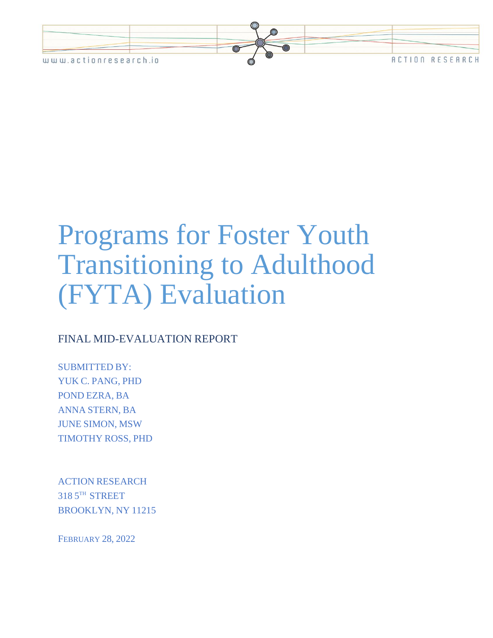

# Programs for Foster Youth Transitioning to Adulthood (FYTA) Evaluation

## FINAL MID-EVALUATION REPORT

SUBMITTED BY: YUK C. PANG, PHD POND EZRA, BA ANNA STERN, BA JUNE SIMON, MSW TIMOTHY ROSS, PHD

ACTION RESEARCH 318 5 TH STREET BROOKLYN, NY 11215

FEBRUARY 28, 2022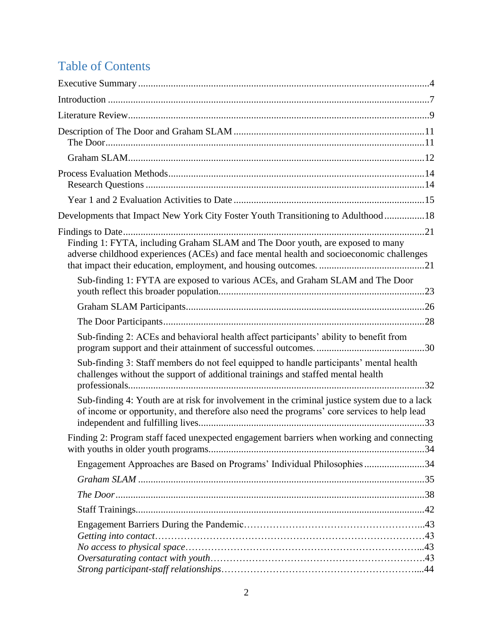# Table of Contents

| Developments that Impact New York City Foster Youth Transitioning to Adulthood18                                                                                                            |
|---------------------------------------------------------------------------------------------------------------------------------------------------------------------------------------------|
| Finding 1: FYTA, including Graham SLAM and The Door youth, are exposed to many<br>adverse childhood experiences (ACEs) and face mental health and socioeconomic challenges                  |
| Sub-finding 1: FYTA are exposed to various ACEs, and Graham SLAM and The Door                                                                                                               |
|                                                                                                                                                                                             |
|                                                                                                                                                                                             |
| Sub-finding 2: ACEs and behavioral health affect participants' ability to benefit from                                                                                                      |
| Sub-finding 3: Staff members do not feel equipped to handle participants' mental health<br>challenges without the support of additional trainings and staffed mental health                 |
| Sub-finding 4: Youth are at risk for involvement in the criminal justice system due to a lack<br>of income or opportunity, and therefore also need the programs' core services to help lead |
| Finding 2: Program staff faced unexpected engagement barriers when working and connecting                                                                                                   |
| Engagement Approaches are Based on Programs' Individual Philosophies34                                                                                                                      |
|                                                                                                                                                                                             |
|                                                                                                                                                                                             |
|                                                                                                                                                                                             |
|                                                                                                                                                                                             |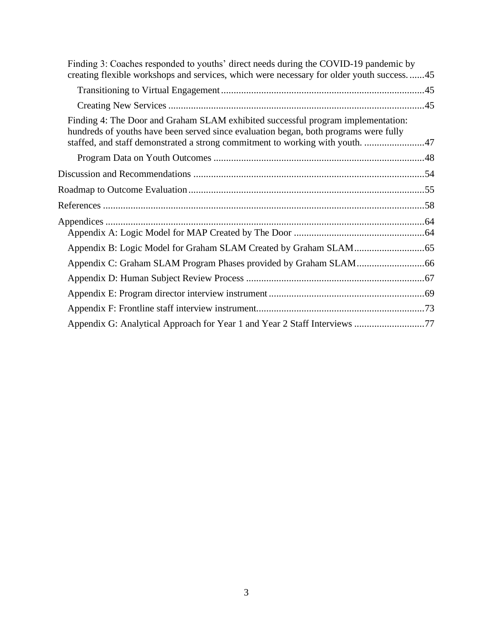| Finding 3: Coaches responded to youths' direct needs during the COVID-19 pandemic by<br>creating flexible workshops and services, which were necessary for older youth success45                                                                          |  |
|-----------------------------------------------------------------------------------------------------------------------------------------------------------------------------------------------------------------------------------------------------------|--|
|                                                                                                                                                                                                                                                           |  |
|                                                                                                                                                                                                                                                           |  |
| Finding 4: The Door and Graham SLAM exhibited successful program implementation:<br>hundreds of youths have been served since evaluation began, both programs were fully<br>staffed, and staff demonstrated a strong commitment to working with youth. 47 |  |
|                                                                                                                                                                                                                                                           |  |
|                                                                                                                                                                                                                                                           |  |
|                                                                                                                                                                                                                                                           |  |
|                                                                                                                                                                                                                                                           |  |
|                                                                                                                                                                                                                                                           |  |
|                                                                                                                                                                                                                                                           |  |
|                                                                                                                                                                                                                                                           |  |
|                                                                                                                                                                                                                                                           |  |
|                                                                                                                                                                                                                                                           |  |
|                                                                                                                                                                                                                                                           |  |
|                                                                                                                                                                                                                                                           |  |
| Appendix G: Analytical Approach for Year 1 and Year 2 Staff Interviews 77                                                                                                                                                                                 |  |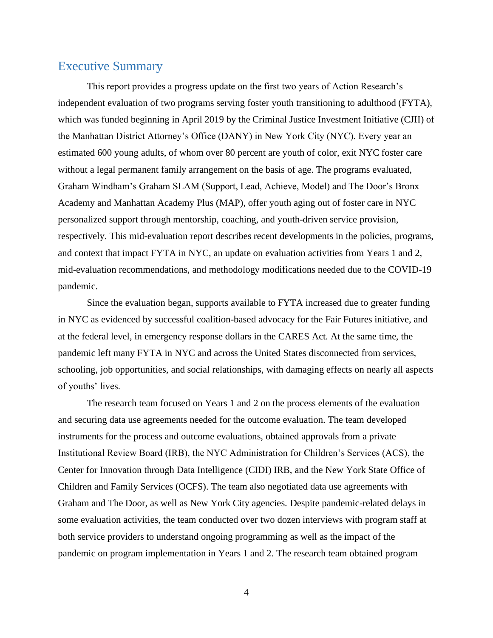## <span id="page-3-0"></span>Executive Summary

This report provides a progress update on the first two years of Action Research's independent evaluation of two programs serving foster youth transitioning to adulthood (FYTA), which was funded beginning in April 2019 by the Criminal Justice Investment Initiative (CJII) of the Manhattan District Attorney's Office (DANY) in New York City (NYC). Every year an estimated 600 young adults, of whom over 80 percent are youth of color, exit NYC foster care without a legal permanent family arrangement on the basis of age. The programs evaluated, Graham Windham's Graham SLAM (Support, Lead, Achieve, Model) and The Door's Bronx Academy and Manhattan Academy Plus (MAP), offer youth aging out of foster care in NYC personalized support through mentorship, coaching, and youth-driven service provision, respectively. This mid-evaluation report describes recent developments in the policies, programs, and context that impact FYTA in NYC, an update on evaluation activities from Years 1 and 2, mid-evaluation recommendations, and methodology modifications needed due to the COVID-19 pandemic.

Since the evaluation began, supports available to FYTA increased due to greater funding in NYC as evidenced by successful coalition-based advocacy for the Fair Futures initiative, and at the federal level, in emergency response dollars in the CARES Act. At the same time, the pandemic left many FYTA in NYC and across the United States disconnected from services, schooling, job opportunities, and social relationships, with damaging effects on nearly all aspects of youths' lives.

The research team focused on Years 1 and 2 on the process elements of the evaluation and securing data use agreements needed for the outcome evaluation. The team developed instruments for the process and outcome evaluations, obtained approvals from a private Institutional Review Board (IRB), the NYC Administration for Children's Services (ACS), the Center for Innovation through Data Intelligence (CIDI) IRB, and the New York State Office of Children and Family Services (OCFS). The team also negotiated data use agreements with Graham and The Door, as well as New York City agencies. Despite pandemic-related delays in some evaluation activities, the team conducted over two dozen interviews with program staff at both service providers to understand ongoing programming as well as the impact of the pandemic on program implementation in Years 1 and 2. The research team obtained program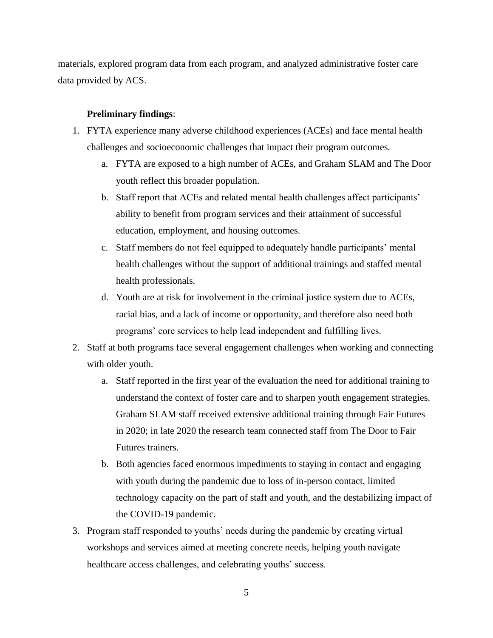materials, explored program data from each program, and analyzed administrative foster care data provided by ACS.

#### **Preliminary findings**:

- 1. FYTA experience many adverse childhood experiences (ACEs) and face mental health challenges and socioeconomic challenges that impact their program outcomes.
	- a. FYTA are exposed to a high number of ACEs, and Graham SLAM and The Door youth reflect this broader population.
	- b. Staff report that ACEs and related mental health challenges affect participants' ability to benefit from program services and their attainment of successful education, employment, and housing outcomes.
	- c. Staff members do not feel equipped to adequately handle participants' mental health challenges without the support of additional trainings and staffed mental health professionals.
	- d. Youth are at risk for involvement in the criminal justice system due to ACEs, racial bias, and a lack of income or opportunity, and therefore also need both programs' core services to help lead independent and fulfilling lives.
- 2. Staff at both programs face several engagement challenges when working and connecting with older youth.
	- a. Staff reported in the first year of the evaluation the need for additional training to understand the context of foster care and to sharpen youth engagement strategies. Graham SLAM staff received extensive additional training through Fair Futures in 2020; in late 2020 the research team connected staff from The Door to Fair Futures trainers.
	- b. Both agencies faced enormous impediments to staying in contact and engaging with youth during the pandemic due to loss of in-person contact, limited technology capacity on the part of staff and youth, and the destabilizing impact of the COVID-19 pandemic.
- 3. Program staff responded to youths' needs during the pandemic by creating virtual workshops and services aimed at meeting concrete needs, helping youth navigate healthcare access challenges, and celebrating youths' success.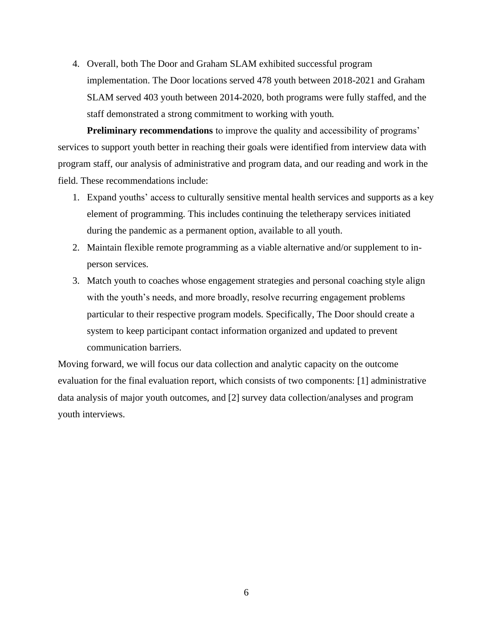4. Overall, both The Door and Graham SLAM exhibited successful program implementation. The Door locations served 478 youth between 2018-2021 and Graham SLAM served 403 youth between 2014-2020, both programs were fully staffed, and the staff demonstrated a strong commitment to working with youth.

**Preliminary recommendations** to improve the quality and accessibility of programs' services to support youth better in reaching their goals were identified from interview data with program staff, our analysis of administrative and program data, and our reading and work in the field. These recommendations include:

- 1. Expand youths' access to culturally sensitive mental health services and supports as a key element of programming. This includes continuing the teletherapy services initiated during the pandemic as a permanent option, available to all youth.
- 2. Maintain flexible remote programming as a viable alternative and/or supplement to inperson services.
- 3. Match youth to coaches whose engagement strategies and personal coaching style align with the youth's needs, and more broadly, resolve recurring engagement problems particular to their respective program models. Specifically, The Door should create a system to keep participant contact information organized and updated to prevent communication barriers.

Moving forward, we will focus our data collection and analytic capacity on the outcome evaluation for the final evaluation report, which consists of two components: [1] administrative data analysis of major youth outcomes, and [2] survey data collection/analyses and program youth interviews.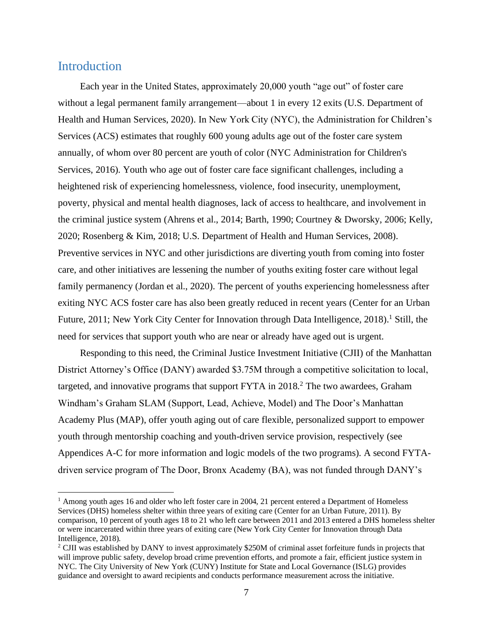## <span id="page-6-0"></span>Introduction

Each year in the United States, approximately 20,000 youth "age out" of foster care without a legal permanent family arrangement—about 1 in every 12 exits (U.S. Department of Health and Human Services, 2020). In New York City (NYC), the Administration for Children's Services (ACS) estimates that roughly 600 young adults age out of the foster care system annually, of whom over 80 percent are youth of color (NYC Administration for Children's Services, 2016). Youth who age out of foster care face significant challenges, including a heightened risk of experiencing homelessness, violence, food insecurity, unemployment, poverty, physical and mental health diagnoses, lack of access to healthcare, and involvement in the criminal justice system (Ahrens et al., 2014; Barth, 1990; Courtney & Dworsky, 2006; Kelly, 2020; Rosenberg & Kim, 2018; U.S. Department of Health and Human Services, 2008). Preventive services in NYC and other jurisdictions are diverting youth from coming into foster care, and other initiatives are lessening the number of youths exiting foster care without legal family permanency (Jordan et al., 2020). The percent of youths experiencing homelessness after exiting NYC ACS foster care has also been greatly reduced in recent years (Center for an Urban Future, 2011; New York City Center for Innovation through Data Intelligence, 2018).<sup>1</sup> Still, the need for services that support youth who are near or already have aged out is urgent.

Responding to this need, the Criminal Justice Investment Initiative (CJII) of the Manhattan District Attorney's Office (DANY) awarded \$3.75M through a competitive solicitation to local, targeted, and innovative programs that support  $FYTA$  in  $2018<sup>2</sup>$ . The two awardees, Graham Windham's Graham SLAM (Support, Lead, Achieve, Model) and The Door's Manhattan Academy Plus (MAP), offer youth aging out of care flexible, personalized support to empower youth through mentorship coaching and youth-driven service provision, respectively (see Appendices A-C for more information and logic models of the two programs). A second FYTAdriven service program of The Door, Bronx Academy (BA), was not funded through DANY's

 $<sup>1</sup>$  Among youth ages 16 and older who left foster care in 2004, 21 percent entered a Department of Homeless</sup> Services (DHS) homeless shelter within three years of exiting care (Center for an Urban Future, 2011). By comparison, 10 percent of youth ages 18 to 21 who left care between 2011 and 2013 entered a DHS homeless shelter or were incarcerated within three years of exiting care (New York City Center for Innovation through Data Intelligence, 2018).

<sup>&</sup>lt;sup>2</sup> CJII was established by DANY to invest approximately \$250M of criminal asset forfeiture funds in projects that will improve public safety, develop broad crime prevention efforts, and promote a fair, efficient justice system in NYC. The City University of New York (CUNY) Institute for State and Local Governance (ISLG) provides guidance and oversight to award recipients and conducts performance measurement across the initiative.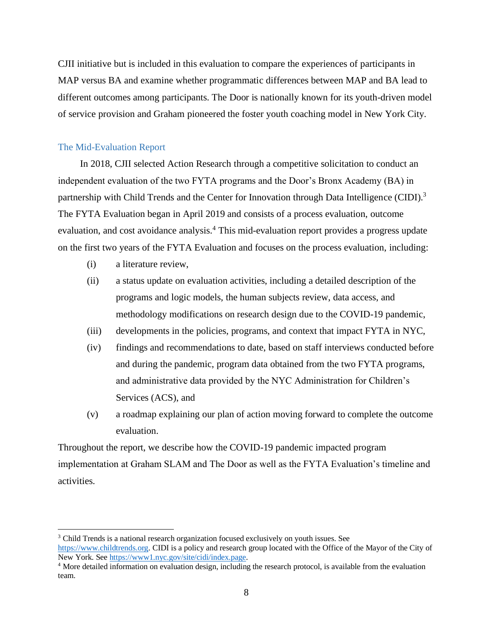CJII initiative but is included in this evaluation to compare the experiences of participants in MAP versus BA and examine whether programmatic differences between MAP and BA lead to different outcomes among participants. The Door is nationally known for its youth-driven model of service provision and Graham pioneered the foster youth coaching model in New York City.

#### The Mid-Evaluation Report

In 2018, CJII selected Action Research through a competitive solicitation to conduct an independent evaluation of the two FYTA programs and the Door's Bronx Academy (BA) in partnership with Child Trends and the Center for Innovation through Data Intelligence (CIDI).<sup>3</sup> The FYTA Evaluation began in April 2019 and consists of a process evaluation, outcome evaluation, and cost avoidance analysis.<sup>4</sup> This mid-evaluation report provides a progress update on the first two years of the FYTA Evaluation and focuses on the process evaluation, including:

- (i) a literature review,
- (ii) a status update on evaluation activities, including a detailed description of the programs and logic models, the human subjects review, data access, and methodology modifications on research design due to the COVID-19 pandemic,
- (iii) developments in the policies, programs, and context that impact FYTA in NYC,
- (iv) findings and recommendations to date, based on staff interviews conducted before and during the pandemic, program data obtained from the two FYTA programs, and administrative data provided by the NYC Administration for Children's Services (ACS), and
- (v) a roadmap explaining our plan of action moving forward to complete the outcome evaluation.

Throughout the report, we describe how the COVID-19 pandemic impacted program implementation at Graham SLAM and The Door as well as the FYTA Evaluation's timeline and activities.

<sup>&</sup>lt;sup>3</sup> Child Trends is a national research organization focused exclusively on youth issues. See [https://www.childtrends.org.](https://www.childtrends.org/) CIDI is a policy and research group located with the Office of the Mayor of the City of New York. See [https://www1.nyc.gov/site/cidi/index.page.](https://www1.nyc.gov/site/cidi/index.page)

<sup>4</sup> More detailed information on evaluation design, including the research protocol, is available from the evaluation team.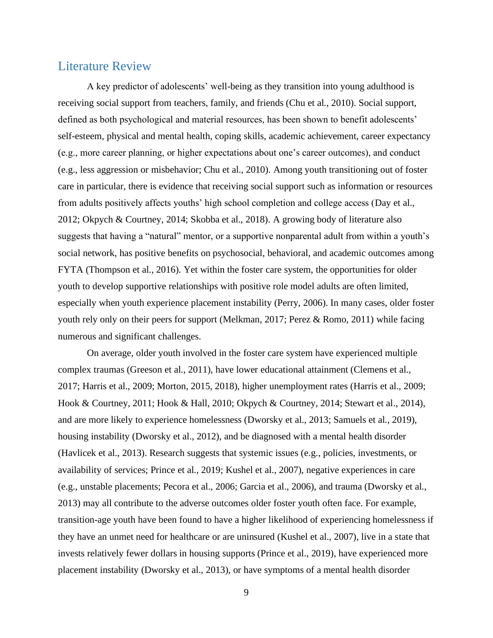## <span id="page-8-0"></span>Literature Review

A key predictor of adolescents' well-being as they transition into young adulthood is receiving social support from teachers, family, and friends (Chu et al., 2010). Social support, defined as both psychological and material resources, has been shown to benefit adolescents' self-esteem, physical and mental health, coping skills, academic achievement, career expectancy (e.g., more career planning, or higher expectations about one's career outcomes), and conduct (e.g., less aggression or misbehavior; Chu et al., 2010). Among youth transitioning out of foster care in particular, there is evidence that receiving social support such as information or resources from adults positively affects youths' high school completion and college access (Day et al., 2012; Okpych & Courtney, 2014; Skobba et al., 2018). A growing body of literature also suggests that having a "natural" mentor, or a supportive nonparental adult from within a youth's social network, has positive benefits on psychosocial, behavioral, and academic outcomes among FYTA (Thompson et al., 2016). Yet within the foster care system, the opportunities for older youth to develop supportive relationships with positive role model adults are often limited, especially when youth experience placement instability (Perry, 2006). In many cases, older foster youth rely only on their peers for support (Melkman, 2017; Perez & Romo, 2011) while facing numerous and significant challenges.

On average, older youth involved in the foster care system have experienced multiple complex traumas (Greeson et al., 2011), have lower educational attainment (Clemens et al., 2017; Harris et al., 2009; Morton, 2015, 2018), higher unemployment rates (Harris et al., 2009; Hook & Courtney, 2011; Hook & Hall, 2010; Okpych & Courtney, 2014; Stewart et al., 2014), and are more likely to experience homelessness (Dworsky et al., 2013; Samuels et al., 2019), housing instability (Dworsky et al., 2012), and be diagnosed with a mental health disorder (Havlicek et al., 2013). Research suggests that systemic issues (e.g., policies, investments, or availability of services; Prince et al., 2019; Kushel et al., 2007), negative experiences in care (e.g., unstable placements; Pecora et al., 2006; Garcia et al., 2006), and trauma (Dworsky et al., 2013) may all contribute to the adverse outcomes older foster youth often face. For example, transition-age youth have been found to have a higher likelihood of experiencing homelessness if they have an unmet need for healthcare or are uninsured (Kushel et al., 2007), live in a state that invests relatively fewer dollars in housing supports (Prince et al., 2019), have experienced more placement instability (Dworsky et al., 2013), or have symptoms of a mental health disorder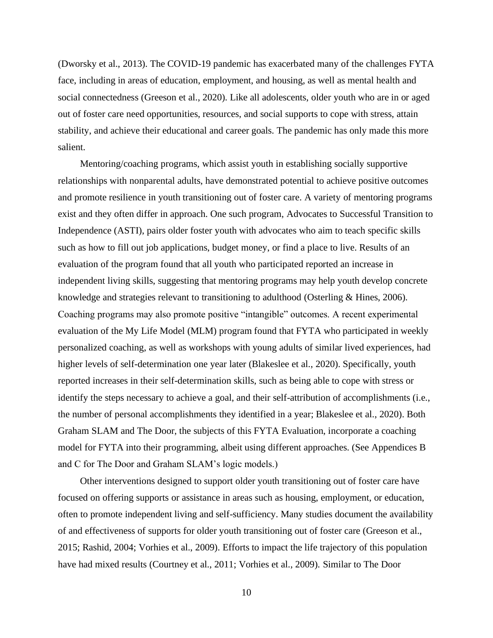(Dworsky et al., 2013). The COVID-19 pandemic has exacerbated many of the challenges FYTA face, including in areas of education, employment, and housing, as well as mental health and social connectedness (Greeson et al., 2020). Like all adolescents, older youth who are in or aged out of foster care need opportunities, resources, and social supports to cope with stress, attain stability, and achieve their educational and career goals. The pandemic has only made this more salient.

Mentoring/coaching programs, which assist youth in establishing socially supportive relationships with nonparental adults, have demonstrated potential to achieve positive outcomes and promote resilience in youth transitioning out of foster care. A variety of mentoring programs exist and they often differ in approach. One such program, Advocates to Successful Transition to Independence (ASTI), pairs older foster youth with advocates who aim to teach specific skills such as how to fill out job applications, budget money, or find a place to live. Results of an evaluation of the program found that all youth who participated reported an increase in independent living skills, suggesting that mentoring programs may help youth develop concrete knowledge and strategies relevant to transitioning to adulthood (Osterling & Hines, 2006). Coaching programs may also promote positive "intangible" outcomes. A recent experimental evaluation of the My Life Model (MLM) program found that FYTA who participated in weekly personalized coaching, as well as workshops with young adults of similar lived experiences, had higher levels of self-determination one year later (Blakeslee et al., 2020). Specifically, youth reported increases in their self-determination skills, such as being able to cope with stress or identify the steps necessary to achieve a goal, and their self-attribution of accomplishments (i.e., the number of personal accomplishments they identified in a year; Blakeslee et al., 2020). Both Graham SLAM and The Door, the subjects of this FYTA Evaluation, incorporate a coaching model for FYTA into their programming, albeit using different approaches. (See Appendices B and C for The Door and Graham SLAM's logic models.)

Other interventions designed to support older youth transitioning out of foster care have focused on offering supports or assistance in areas such as housing, employment, or education, often to promote independent living and self-sufficiency. Many studies document the availability of and effectiveness of supports for older youth transitioning out of foster care (Greeson et al., 2015; Rashid, 2004; Vorhies et al., 2009). Efforts to impact the life trajectory of this population have had mixed results (Courtney et al., 2011; Vorhies et al., 2009). Similar to The Door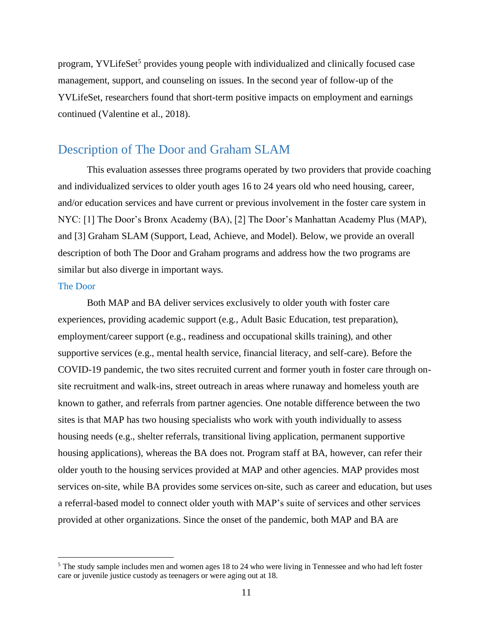program, YVLifeSet<sup>5</sup> provides young people with individualized and clinically focused case management, support, and counseling on issues. In the second year of follow-up of the YVLifeSet, researchers found that short-term positive impacts on employment and earnings continued (Valentine et al., 2018).

## <span id="page-10-0"></span>Description of The Door and Graham SLAM

This evaluation assesses three programs operated by two providers that provide coaching and individualized services to older youth ages 16 to 24 years old who need housing, career, and/or education services and have current or previous involvement in the foster care system in NYC: [1] The Door's Bronx Academy (BA), [2] The Door's Manhattan Academy Plus (MAP), and [3] Graham SLAM (Support, Lead, Achieve, and Model). Below, we provide an overall description of both The Door and Graham programs and address how the two programs are similar but also diverge in important ways.

#### <span id="page-10-1"></span>The Door

Both MAP and BA deliver services exclusively to older youth with foster care experiences, providing academic support (e.g., Adult Basic Education, test preparation), employment/career support (e.g., readiness and occupational skills training), and other supportive services (e.g., mental health service, financial literacy, and self-care). Before the COVID-19 pandemic, the two sites recruited current and former youth in foster care through onsite recruitment and walk-ins, street outreach in areas where runaway and homeless youth are known to gather, and referrals from partner agencies. One notable difference between the two sites is that MAP has two housing specialists who work with youth individually to assess housing needs (e.g., shelter referrals, transitional living application, permanent supportive housing applications), whereas the BA does not. Program staff at BA, however, can refer their older youth to the housing services provided at MAP and other agencies. MAP provides most services on-site, while BA provides some services on-site, such as career and education, but uses a referral-based model to connect older youth with MAP's suite of services and other services provided at other organizations. Since the onset of the pandemic, both MAP and BA are

<sup>&</sup>lt;sup>5</sup> The study sample includes men and women ages 18 to 24 who were living in Tennessee and who had left foster care or juvenile justice custody as teenagers or were aging out at 18.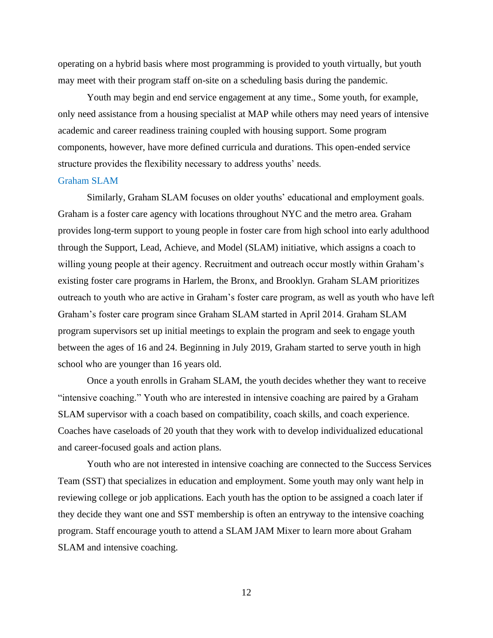operating on a hybrid basis where most programming is provided to youth virtually, but youth may meet with their program staff on-site on a scheduling basis during the pandemic.

Youth may begin and end service engagement at any time., Some youth, for example, only need assistance from a housing specialist at MAP while others may need years of intensive academic and career readiness training coupled with housing support. Some program components, however, have more defined curricula and durations. This open-ended service structure provides the flexibility necessary to address youths' needs.

#### <span id="page-11-0"></span>Graham SLAM

Similarly, Graham SLAM focuses on older youths' educational and employment goals. Graham is a foster care agency with locations throughout NYC and the metro area. Graham provides long-term support to young people in foster care from high school into early adulthood through the Support, Lead, Achieve, and Model (SLAM) initiative, which assigns a coach to willing young people at their agency. Recruitment and outreach occur mostly within Graham's existing foster care programs in Harlem, the Bronx, and Brooklyn. Graham SLAM prioritizes outreach to youth who are active in Graham's foster care program, as well as youth who have left Graham's foster care program since Graham SLAM started in April 2014. Graham SLAM program supervisors set up initial meetings to explain the program and seek to engage youth between the ages of 16 and 24. Beginning in July 2019, Graham started to serve youth in high school who are younger than 16 years old.

Once a youth enrolls in Graham SLAM, the youth decides whether they want to receive "intensive coaching." Youth who are interested in intensive coaching are paired by a Graham SLAM supervisor with a coach based on compatibility, coach skills, and coach experience. Coaches have caseloads of 20 youth that they work with to develop individualized educational and career-focused goals and action plans.

Youth who are not interested in intensive coaching are connected to the Success Services Team (SST) that specializes in education and employment. Some youth may only want help in reviewing college or job applications. Each youth has the option to be assigned a coach later if they decide they want one and SST membership is often an entryway to the intensive coaching program. Staff encourage youth to attend a SLAM JAM Mixer to learn more about Graham SLAM and intensive coaching.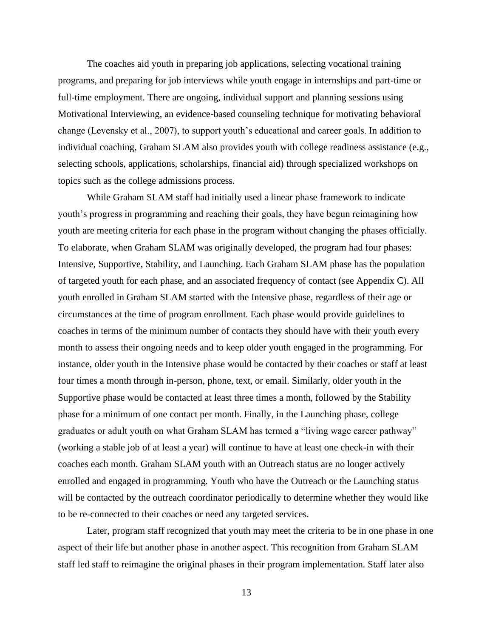The coaches aid youth in preparing job applications, selecting vocational training programs, and preparing for job interviews while youth engage in internships and part-time or full-time employment. There are ongoing, individual support and planning sessions using Motivational Interviewing, an evidence-based counseling technique for motivating behavioral change (Levensky et al., 2007), to support youth's educational and career goals. In addition to individual coaching, Graham SLAM also provides youth with college readiness assistance (e.g., selecting schools, applications, scholarships, financial aid) through specialized workshops on topics such as the college admissions process.

While Graham SLAM staff had initially used a linear phase framework to indicate youth's progress in programming and reaching their goals, they have begun reimagining how youth are meeting criteria for each phase in the program without changing the phases officially. To elaborate, when Graham SLAM was originally developed, the program had four phases: Intensive, Supportive, Stability, and Launching. Each Graham SLAM phase has the population of targeted youth for each phase, and an associated frequency of contact (see Appendix C). All youth enrolled in Graham SLAM started with the Intensive phase, regardless of their age or circumstances at the time of program enrollment. Each phase would provide guidelines to coaches in terms of the minimum number of contacts they should have with their youth every month to assess their ongoing needs and to keep older youth engaged in the programming. For instance, older youth in the Intensive phase would be contacted by their coaches or staff at least four times a month through in-person, phone, text, or email. Similarly, older youth in the Supportive phase would be contacted at least three times a month, followed by the Stability phase for a minimum of one contact per month. Finally, in the Launching phase, college graduates or adult youth on what Graham SLAM has termed a "living wage career pathway" (working a stable job of at least a year) will continue to have at least one check-in with their coaches each month. Graham SLAM youth with an Outreach status are no longer actively enrolled and engaged in programming. Youth who have the Outreach or the Launching status will be contacted by the outreach coordinator periodically to determine whether they would like to be re-connected to their coaches or need any targeted services.

Later, program staff recognized that youth may meet the criteria to be in one phase in one aspect of their life but another phase in another aspect. This recognition from Graham SLAM staff led staff to reimagine the original phases in their program implementation. Staff later also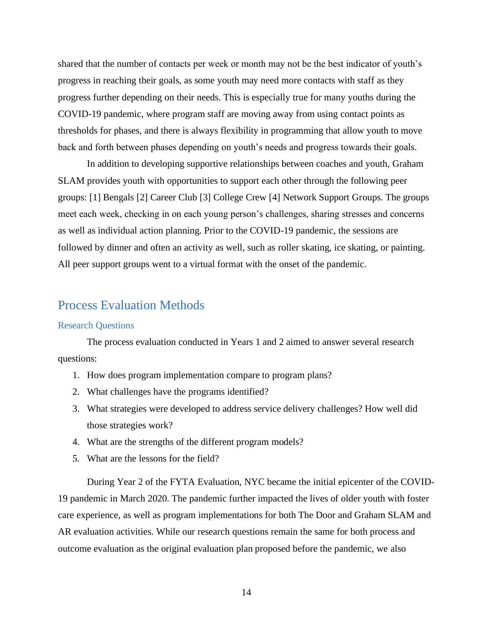shared that the number of contacts per week or month may not be the best indicator of youth's progress in reaching their goals, as some youth may need more contacts with staff as they progress further depending on their needs. This is especially true for many youths during the COVID-19 pandemic, where program staff are moving away from using contact points as thresholds for phases, and there is always flexibility in programming that allow youth to move back and forth between phases depending on youth's needs and progress towards their goals.

In addition to developing supportive relationships between coaches and youth, Graham SLAM provides youth with opportunities to support each other through the following peer groups: [1] Bengals [2] Career Club [3] College Crew [4] Network Support Groups. The groups meet each week, checking in on each young person's challenges, sharing stresses and concerns as well as individual action planning. Prior to the COVID-19 pandemic, the sessions are followed by dinner and often an activity as well, such as roller skating, ice skating, or painting. All peer support groups went to a virtual format with the onset of the pandemic.

### <span id="page-13-0"></span>Process Evaluation Methods

#### <span id="page-13-1"></span>Research Questions

The process evaluation conducted in Years 1 and 2 aimed to answer several research questions:

- 1. How does program implementation compare to program plans?
- 2. What challenges have the programs identified?
- 3. What strategies were developed to address service delivery challenges? How well did those strategies work?
- 4. What are the strengths of the different program models?
- 5. What are the lessons for the field?

During Year 2 of the FYTA Evaluation, NYC became the initial epicenter of the COVID-19 pandemic in March 2020. The pandemic further impacted the lives of older youth with foster care experience, as well as program implementations for both The Door and Graham SLAM and AR evaluation activities. While our research questions remain the same for both process and outcome evaluation as the original evaluation plan proposed before the pandemic, we also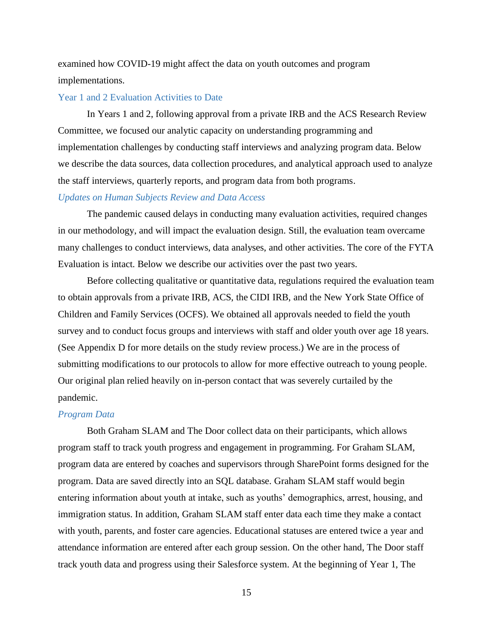examined how COVID-19 might affect the data on youth outcomes and program implementations.

#### <span id="page-14-0"></span>Year 1 and 2 Evaluation Activities to Date

In Years 1 and 2, following approval from a private IRB and the ACS Research Review Committee, we focused our analytic capacity on understanding programming and implementation challenges by conducting staff interviews and analyzing program data. Below we describe the data sources, data collection procedures, and analytical approach used to analyze the staff interviews, quarterly reports, and program data from both programs.

#### *Updates on Human Subjects Review and Data Access*

The pandemic caused delays in conducting many evaluation activities, required changes in our methodology, and will impact the evaluation design. Still, the evaluation team overcame many challenges to conduct interviews, data analyses, and other activities. The core of the FYTA Evaluation is intact. Below we describe our activities over the past two years.

Before collecting qualitative or quantitative data, regulations required the evaluation team to obtain approvals from a private IRB, ACS, the CIDI IRB, and the New York State Office of Children and Family Services (OCFS). We obtained all approvals needed to field the youth survey and to conduct focus groups and interviews with staff and older youth over age 18 years. (See Appendix D for more details on the study review process.) We are in the process of submitting modifications to our protocols to allow for more effective outreach to young people. Our original plan relied heavily on in-person contact that was severely curtailed by the pandemic.

#### *Program Data*

Both Graham SLAM and The Door collect data on their participants, which allows program staff to track youth progress and engagement in programming. For Graham SLAM, program data are entered by coaches and supervisors through SharePoint forms designed for the program. Data are saved directly into an SQL database. Graham SLAM staff would begin entering information about youth at intake, such as youths' demographics, arrest, housing, and immigration status. In addition, Graham SLAM staff enter data each time they make a contact with youth, parents, and foster care agencies. Educational statuses are entered twice a year and attendance information are entered after each group session. On the other hand, The Door staff track youth data and progress using their Salesforce system. At the beginning of Year 1, The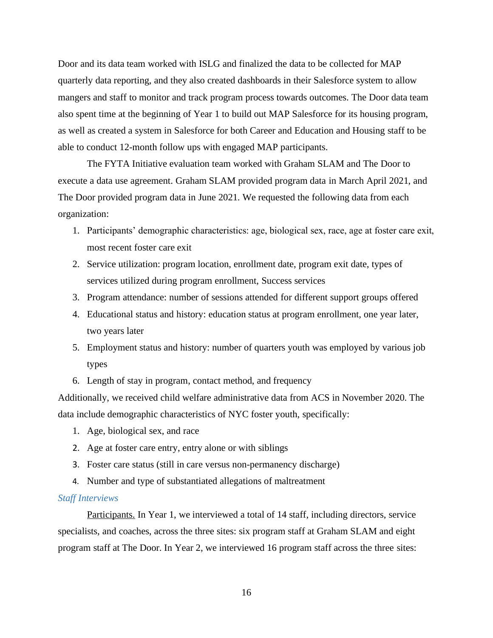Door and its data team worked with ISLG and finalized the data to be collected for MAP quarterly data reporting, and they also created dashboards in their Salesforce system to allow mangers and staff to monitor and track program process towards outcomes. The Door data team also spent time at the beginning of Year 1 to build out MAP Salesforce for its housing program, as well as created a system in Salesforce for both Career and Education and Housing staff to be able to conduct 12-month follow ups with engaged MAP participants.

The FYTA Initiative evaluation team worked with Graham SLAM and The Door to execute a data use agreement. Graham SLAM provided program data in March April 2021, and The Door provided program data in June 2021. We requested the following data from each organization:

- 1. Participants' demographic characteristics: age, biological sex, race, age at foster care exit, most recent foster care exit
- 2. Service utilization: program location, enrollment date, program exit date, types of services utilized during program enrollment, Success services
- 3. Program attendance: number of sessions attended for different support groups offered
- 4. Educational status and history: education status at program enrollment, one year later, two years later
- 5. Employment status and history: number of quarters youth was employed by various job types
- 6. Length of stay in program, contact method, and frequency

Additionally, we received child welfare administrative data from ACS in November 2020. The data include demographic characteristics of NYC foster youth, specifically:

- 1. Age, biological sex, and race
- 2. Age at foster care entry, entry alone or with siblings
- 3. Foster care status (still in care versus non-permanency discharge)
- 4. Number and type of substantiated allegations of maltreatment

#### *Staff Interviews*

Participants. In Year 1, we interviewed a total of 14 staff, including directors, service specialists, and coaches, across the three sites: six program staff at Graham SLAM and eight program staff at The Door. In Year 2, we interviewed 16 program staff across the three sites: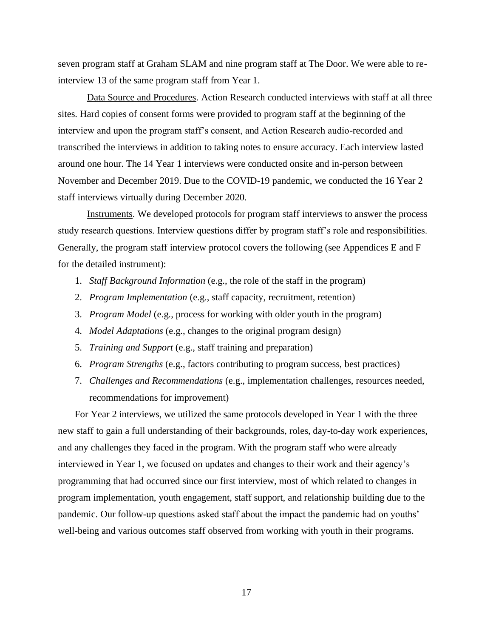seven program staff at Graham SLAM and nine program staff at The Door. We were able to reinterview 13 of the same program staff from Year 1.

Data Source and Procedures. Action Research conducted interviews with staff at all three sites. Hard copies of consent forms were provided to program staff at the beginning of the interview and upon the program staff's consent, and Action Research audio-recorded and transcribed the interviews in addition to taking notes to ensure accuracy. Each interview lasted around one hour. The 14 Year 1 interviews were conducted onsite and in-person between November and December 2019. Due to the COVID-19 pandemic, we conducted the 16 Year 2 staff interviews virtually during December 2020.

Instruments. We developed protocols for program staff interviews to answer the process study research questions. Interview questions differ by program staff's role and responsibilities. Generally, the program staff interview protocol covers the following (see Appendices E and F for the detailed instrument):

- 1. *Staff Background Information* (e.g., the role of the staff in the program)
- 2. *Program Implementation* (e.g., staff capacity, recruitment, retention)
- 3. *Program Model* (e.g., process for working with older youth in the program)
- 4. *Model Adaptations* (e.g., changes to the original program design)
- 5. *Training and Support* (e.g., staff training and preparation)
- 6. *Program Strengths* (e.g., factors contributing to program success, best practices)
- 7. *Challenges and Recommendations* (e.g., implementation challenges, resources needed, recommendations for improvement)

For Year 2 interviews, we utilized the same protocols developed in Year 1 with the three new staff to gain a full understanding of their backgrounds, roles, day-to-day work experiences, and any challenges they faced in the program. With the program staff who were already interviewed in Year 1, we focused on updates and changes to their work and their agency's programming that had occurred since our first interview, most of which related to changes in program implementation, youth engagement, staff support, and relationship building due to the pandemic. Our follow-up questions asked staff about the impact the pandemic had on youths' well-being and various outcomes staff observed from working with youth in their programs.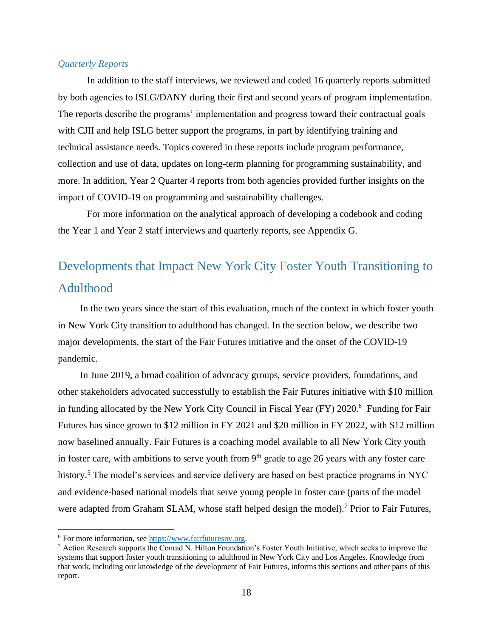#### *Quarterly Reports*

In addition to the staff interviews, we reviewed and coded 16 quarterly reports submitted by both agencies to ISLG/DANY during their first and second years of program implementation. The reports describe the programs' implementation and progress toward their contractual goals with CJII and help ISLG better support the programs, in part by identifying training and technical assistance needs. Topics covered in these reports include program performance, collection and use of data, updates on long-term planning for programming sustainability, and more. In addition, Year 2 Quarter 4 reports from both agencies provided further insights on the impact of COVID-19 on programming and sustainability challenges.

For more information on the analytical approach of developing a codebook and coding the Year 1 and Year 2 staff interviews and quarterly reports, see Appendix G.

## <span id="page-17-0"></span>Developments that Impact New York City Foster Youth Transitioning to Adulthood

In the two years since the start of this evaluation, much of the context in which foster youth in New York City transition to adulthood has changed. In the section below, we describe two major developments, the start of the Fair Futures initiative and the onset of the COVID-19 pandemic.

In June 2019, a broad coalition of advocacy groups, service providers, foundations, and other stakeholders advocated successfully to establish the Fair Futures initiative with \$10 million in funding allocated by the New York City Council in Fiscal Year (FY) 2020. <sup>6</sup> Funding for Fair Futures has since grown to \$12 million in FY 2021 and \$20 million in FY 2022, with \$12 million now baselined annually. Fair Futures is a coaching model available to all New York City youth in foster care, with ambitions to serve youth from  $9<sup>th</sup>$  grade to age 26 years with any foster care history.<sup>5</sup> The model's services and service delivery are based on best practice programs in NYC and evidence-based national models that serve young people in foster care (parts of the model were adapted from Graham SLAM, whose staff helped design the model).<sup>7</sup> Prior to Fair Futures,

<sup>6</sup> For more information, se[e https://www.fairfuturesny.org.](https://www.fairfuturesny.org/)

 $^7$  Action Research supports the Conrad N. Hilton Foundation's Foster Youth Initiative, which seeks to improve the systems that support foster youth transitioning to adulthood in New York City and Los Angeles. Knowledge from that work, including our knowledge of the development of Fair Futures, informs this sections and other parts of this report.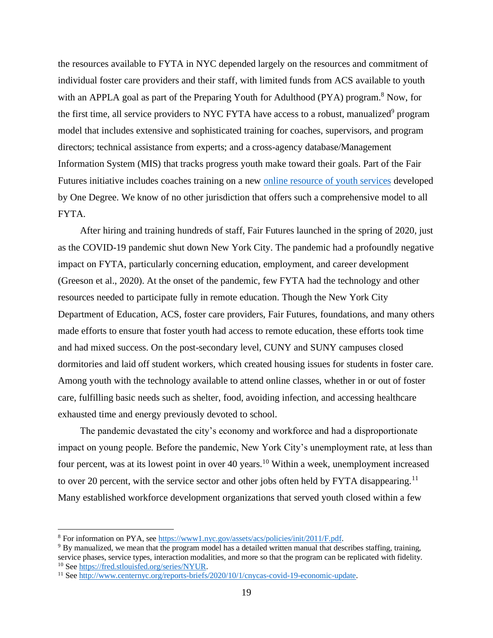the resources available to FYTA in NYC depended largely on the resources and commitment of individual foster care providers and their staff, with limited funds from ACS available to youth with an APPLA goal as part of the Preparing Youth for Adulthood (PYA) program.<sup>8</sup> Now, for the first time, all service providers to NYC FYTA have access to a robust, manualized<sup>9</sup> program model that includes extensive and sophisticated training for coaches, supervisors, and program directors; technical assistance from experts; and a cross-agency database/Management Information System (MIS) that tracks progress youth make toward their goals. Part of the Fair Futures initiative includes coaches training on a new [online resource of youth services](https://www.fairfuturesny.org/1degree) developed by One Degree. We know of no other jurisdiction that offers such a comprehensive model to all FYTA.

After hiring and training hundreds of staff, Fair Futures launched in the spring of 2020, just as the COVID-19 pandemic shut down New York City. The pandemic had a profoundly negative impact on FYTA, particularly concerning education, employment, and career development (Greeson et al., 2020). At the onset of the pandemic, few FYTA had the technology and other resources needed to participate fully in remote education. Though the New York City Department of Education, ACS, foster care providers, Fair Futures, foundations, and many others made efforts to ensure that foster youth had access to remote education, these efforts took time and had mixed success. On the post-secondary level, CUNY and SUNY campuses closed dormitories and laid off student workers, which created housing issues for students in foster care. Among youth with the technology available to attend online classes, whether in or out of foster care, fulfilling basic needs such as shelter, food, avoiding infection, and accessing healthcare exhausted time and energy previously devoted to school.

The pandemic devastated the city's economy and workforce and had a disproportionate impact on young people. Before the pandemic, New York City's unemployment rate, at less than four percent, was at its lowest point in over 40 years.<sup>10</sup> Within a week, unemployment increased to over 20 percent, with the service sector and other jobs often held by FYTA disappearing.<sup>11</sup> Many established workforce development organizations that served youth closed within a few

<sup>8</sup> For information on PYA, se[e https://www1.nyc.gov/assets/acs/policies/init/2011/F.pdf.](https://www1.nyc.gov/assets/acs/policies/init/2011/F.pdf)

<sup>&</sup>lt;sup>9</sup> By manualized, we mean that the program model has a detailed written manual that describes staffing, training, service phases, service types, interaction modalities, and more so that the program can be replicated with fidelity. <sup>10</sup> See [https://fred.stlouisfed.org/series/NYUR.](https://fred.stlouisfed.org/series/NYUR)

<sup>11</sup> See [http://www.centernyc.org/reports-briefs/2020/10/1/cnycas-covid-19-economic-update.](http://www.centernyc.org/reports-briefs/2020/10/1/cnycas-covid-19-economic-update)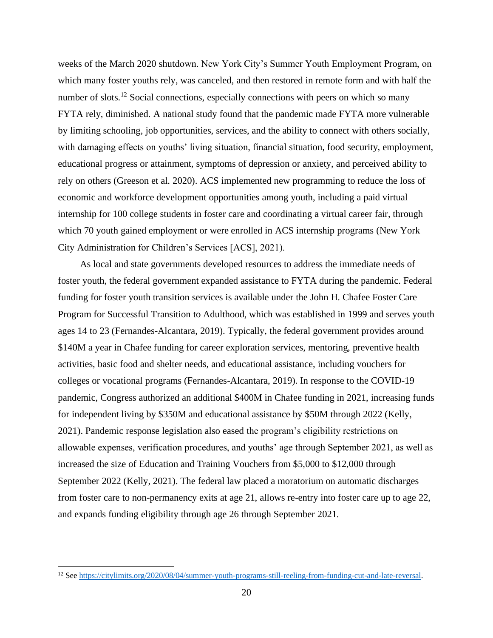weeks of the March 2020 shutdown. New York City's Summer Youth Employment Program, on which many foster youths rely, was canceled, and then restored in remote form and with half the number of slots.<sup>12</sup> Social connections, especially connections with peers on which so many FYTA rely, diminished. A national study found that the pandemic made FYTA more vulnerable by limiting schooling, job opportunities, services, and the ability to connect with others socially, with damaging effects on youths' living situation, financial situation, food security, employment, educational progress or attainment, symptoms of depression or anxiety, and perceived ability to rely on others (Greeson et al. 2020). ACS implemented new programming to reduce the loss of economic and workforce development opportunities among youth, including a paid virtual internship for 100 college students in foster care and coordinating a virtual career fair, through which 70 youth gained employment or were enrolled in ACS internship programs (New York City Administration for Children's Services [ACS], 2021).

As local and state governments developed resources to address the immediate needs of foster youth, the federal government expanded assistance to FYTA during the pandemic. Federal funding for foster youth transition services is available under the John H. Chafee Foster Care Program for Successful Transition to Adulthood, which was established in 1999 and serves youth ages 14 to 23 (Fernandes-Alcantara, 2019). Typically, the federal government provides around \$140M a year in Chafee funding for career exploration services, mentoring, preventive health activities, basic food and shelter needs, and educational assistance, including vouchers for colleges or vocational programs (Fernandes-Alcantara, 2019). In response to the COVID-19 pandemic, Congress authorized an additional \$400M in Chafee funding in 2021, increasing funds for independent living by \$350M and educational assistance by \$50M through 2022 (Kelly, 2021). Pandemic response legislation also eased the program's eligibility restrictions on allowable expenses, verification procedures, and youths' age through September 2021, as well as increased the size of Education and Training Vouchers from \$5,000 to \$12,000 through September 2022 (Kelly, 2021). The federal law placed a moratorium on automatic discharges from foster care to non-permanency exits at age 21, allows re-entry into foster care up to age 22, and expands funding eligibility through age 26 through September 2021.

<sup>12</sup> See [https://citylimits.org/2020/08/04/summer-youth-programs-still-reeling-from-funding-cut-and-late-reversal.](https://citylimits.org/2020/08/04/summer-youth-programs-still-reeling-from-funding-cut-and-late-reversal)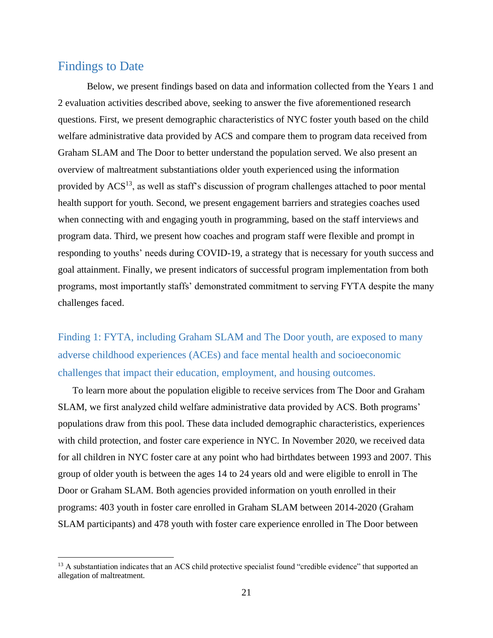## <span id="page-20-0"></span>Findings to Date

Below, we present findings based on data and information collected from the Years 1 and 2 evaluation activities described above, seeking to answer the five aforementioned research questions. First, we present demographic characteristics of NYC foster youth based on the child welfare administrative data provided by ACS and compare them to program data received from Graham SLAM and The Door to better understand the population served. We also present an overview of maltreatment substantiations older youth experienced using the information provided by  $ACS<sup>13</sup>$ , as well as staff's discussion of program challenges attached to poor mental health support for youth. Second, we present engagement barriers and strategies coaches used when connecting with and engaging youth in programming, based on the staff interviews and program data. Third, we present how coaches and program staff were flexible and prompt in responding to youths' needs during COVID-19, a strategy that is necessary for youth success and goal attainment. Finally, we present indicators of successful program implementation from both programs, most importantly staffs' demonstrated commitment to serving FYTA despite the many challenges faced.

<span id="page-20-1"></span>Finding 1: FYTA, including Graham SLAM and The Door youth, are exposed to many adverse childhood experiences (ACEs) and face mental health and socioeconomic challenges that impact their education, employment, and housing outcomes.

To learn more about the population eligible to receive services from The Door and Graham SLAM, we first analyzed child welfare administrative data provided by ACS. Both programs' populations draw from this pool. These data included demographic characteristics, experiences with child protection, and foster care experience in NYC. In November 2020, we received data for all children in NYC foster care at any point who had birthdates between 1993 and 2007. This group of older youth is between the ages 14 to 24 years old and were eligible to enroll in The Door or Graham SLAM. Both agencies provided information on youth enrolled in their programs: 403 youth in foster care enrolled in Graham SLAM between 2014-2020 (Graham SLAM participants) and 478 youth with foster care experience enrolled in The Door between

<sup>&</sup>lt;sup>13</sup> A substantiation indicates that an ACS child protective specialist found "credible evidence" that supported an allegation of maltreatment.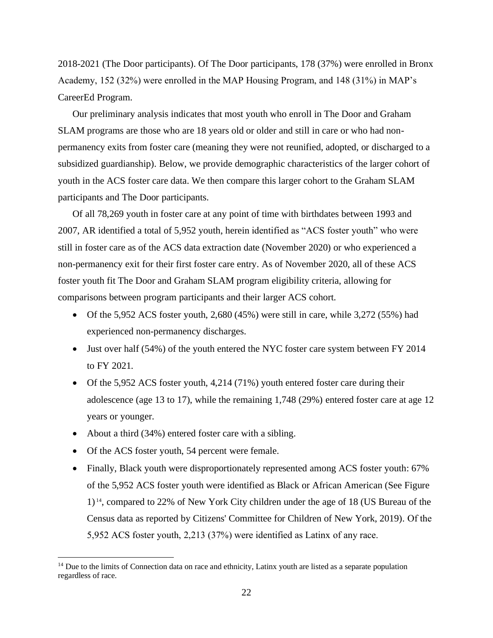2018-2021 (The Door participants). Of The Door participants, 178 (37%) were enrolled in Bronx Academy, 152 (32%) were enrolled in the MAP Housing Program, and 148 (31%) in MAP's CareerEd Program.

Our preliminary analysis indicates that most youth who enroll in The Door and Graham SLAM programs are those who are 18 years old or older and still in care or who had nonpermanency exits from foster care (meaning they were not reunified, adopted, or discharged to a subsidized guardianship). Below, we provide demographic characteristics of the larger cohort of youth in the ACS foster care data. We then compare this larger cohort to the Graham SLAM participants and The Door participants.

Of all 78,269 youth in foster care at any point of time with birthdates between 1993 and 2007, AR identified a total of 5,952 youth, herein identified as "ACS foster youth" who were still in foster care as of the ACS data extraction date (November 2020) or who experienced a non-permanency exit for their first foster care entry. As of November 2020, all of these ACS foster youth fit The Door and Graham SLAM program eligibility criteria, allowing for comparisons between program participants and their larger ACS cohort.

- Of the 5,952 ACS foster youth, 2,680 (45%) were still in care, while 3,272 (55%) had experienced non-permanency discharges.
- Just over half (54%) of the youth entered the NYC foster care system between FY 2014 to FY 2021.
- Of the 5,952 ACS foster youth, 4,214 (71%) youth entered foster care during their adolescence (age 13 to 17), while the remaining 1,748 (29%) entered foster care at age 12 years or younger.
- About a third (34%) entered foster care with a sibling.
- Of the ACS foster youth, 54 percent were female.
- Finally, Black youth were disproportionately represented among ACS foster youth: 67% of the 5,952 ACS foster youth were identified as Black or African American (See Figure 1) <sup>14</sup>, compared to 22% of New York City children under the age of 18 (US Bureau of the Census data as reported by Citizens' Committee for Children of New York, 2019). Of the 5,952 ACS foster youth, 2,213 (37%) were identified as Latinx of any race.

<sup>&</sup>lt;sup>14</sup> Due to the limits of Connection data on race and ethnicity, Latinx youth are listed as a separate population regardless of race.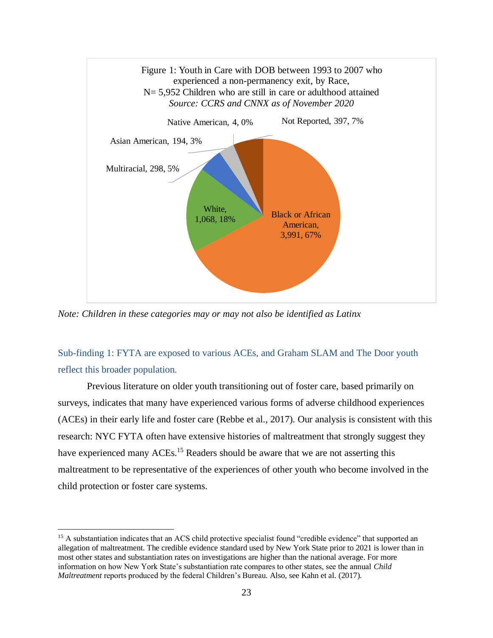

*Note: Children in these categories may or may not also be identified as Latinx*

<span id="page-22-0"></span>Sub-finding 1: FYTA are exposed to various ACEs, and Graham SLAM and The Door youth reflect this broader population.

Previous literature on older youth transitioning out of foster care, based primarily on surveys, indicates that many have experienced various forms of adverse childhood experiences (ACEs) in their early life and foster care (Rebbe et al., 2017). Our analysis is consistent with this research: NYC FYTA often have extensive histories of maltreatment that strongly suggest they have experienced many ACEs.<sup>15</sup> Readers should be aware that we are not asserting this maltreatment to be representative of the experiences of other youth who become involved in the child protection or foster care systems.

<sup>&</sup>lt;sup>15</sup> A substantiation indicates that an ACS child protective specialist found "credible evidence" that supported an allegation of maltreatment. The credible evidence standard used by New York State prior to 2021 is lower than in most other states and substantiation rates on investigations are higher than the national average. For more information on how New York State's substantiation rate compares to other states, see the annual *Child Maltreatment* reports produced by the federal Children's Bureau. Also, see Kahn et al. (2017).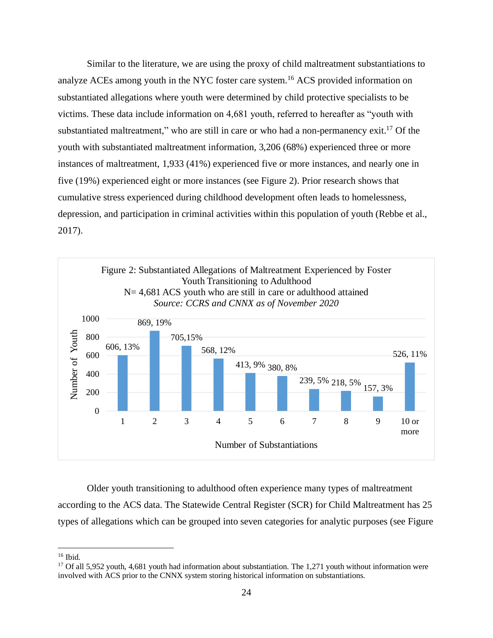Similar to the literature, we are using the proxy of child maltreatment substantiations to analyze ACEs among youth in the NYC foster care system.<sup>16</sup> ACS provided information on substantiated allegations where youth were determined by child protective specialists to be victims. These data include information on 4,681 youth, referred to hereafter as "youth with substantiated maltreatment," who are still in care or who had a non-permanency exit.<sup>17</sup> Of the youth with substantiated maltreatment information, 3,206 (68%) experienced three or more instances of maltreatment, 1,933 (41%) experienced five or more instances, and nearly one in five (19%) experienced eight or more instances (see Figure 2). Prior research shows that cumulative stress experienced during childhood development often leads to homelessness, depression, and participation in criminal activities within this population of youth (Rebbe et al., 2017).



Older youth transitioning to adulthood often experience many types of maltreatment according to the ACS data. The Statewide Central Register (SCR) for Child Maltreatment has 25 types of allegations which can be grouped into seven categories for analytic purposes (see Figure

<sup>16</sup> Ibid.

 $17$  Of all 5,952 youth, 4,681 youth had information about substantiation. The 1,271 youth without information were involved with ACS prior to the CNNX system storing historical information on substantiations.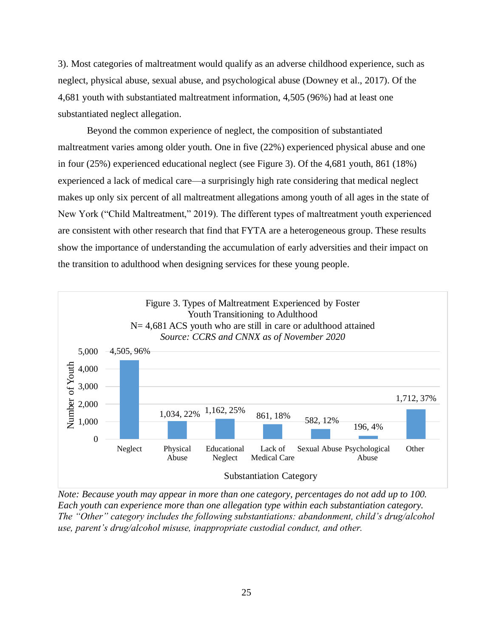3). Most categories of maltreatment would qualify as an adverse childhood experience, such as neglect, physical abuse, sexual abuse, and psychological abuse (Downey et al., 2017). Of the 4,681 youth with substantiated maltreatment information, 4,505 (96%) had at least one substantiated neglect allegation.

Beyond the common experience of neglect, the composition of substantiated maltreatment varies among older youth. One in five (22%) experienced physical abuse and one in four (25%) experienced educational neglect (see Figure 3). Of the 4,681 youth, 861 (18%) experienced a lack of medical care—a surprisingly high rate considering that medical neglect makes up only six percent of all maltreatment allegations among youth of all ages in the state of New York ("Child Maltreatment," 2019). The different types of maltreatment youth experienced are consistent with other research that find that FYTA are a heterogeneous group. These results show the importance of understanding the accumulation of early adversities and their impact on the transition to adulthood when designing services for these young people.



*Note: Because youth may appear in more than one category, percentages do not add up to 100. Each youth can experience more than one allegation type within each substantiation category. The "Other" category includes the following substantiations: abandonment, child's drug/alcohol use, parent's drug/alcohol misuse, inappropriate custodial conduct, and other.*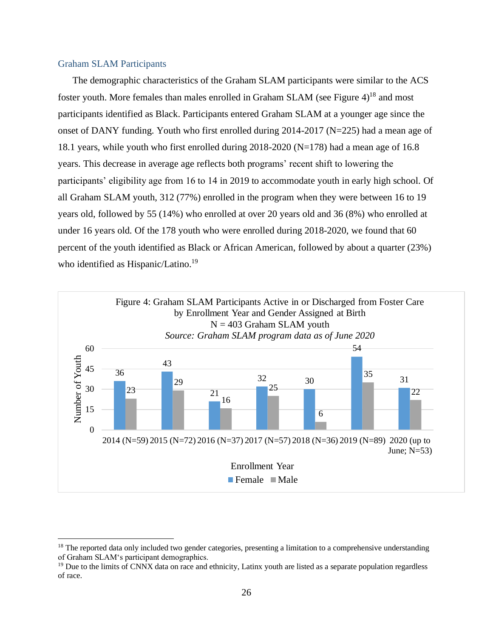#### <span id="page-25-0"></span>Graham SLAM Participants

The demographic characteristics of the Graham SLAM participants were similar to the ACS foster youth. More females than males enrolled in Graham SLAM (see Figure 4)<sup>18</sup> and most participants identified as Black. Participants entered Graham SLAM at a younger age since the onset of DANY funding. Youth who first enrolled during 2014-2017 (N=225) had a mean age of 18.1 years, while youth who first enrolled during 2018-2020 (N=178) had a mean age of 16.8 years. This decrease in average age reflects both programs' recent shift to lowering the participants' eligibility age from 16 to 14 in 2019 to accommodate youth in early high school. Of all Graham SLAM youth, 312 (77%) enrolled in the program when they were between 16 to 19 years old, followed by 55 (14%) who enrolled at over 20 years old and 36 (8%) who enrolled at under 16 years old. Of the 178 youth who were enrolled during 2018-2020, we found that 60 percent of the youth identified as Black or African American, followed by about a quarter (23%) who identified as Hispanic/Latino.<sup>19</sup>



<sup>&</sup>lt;sup>18</sup> The reported data only included two gender categories, presenting a limitation to a comprehensive understanding of Graham SLAM's participant demographics.

 $<sup>19</sup>$  Due to the limits of CNNX data on race and ethnicity, Latinx youth are listed as a separate population regardless</sup> of race.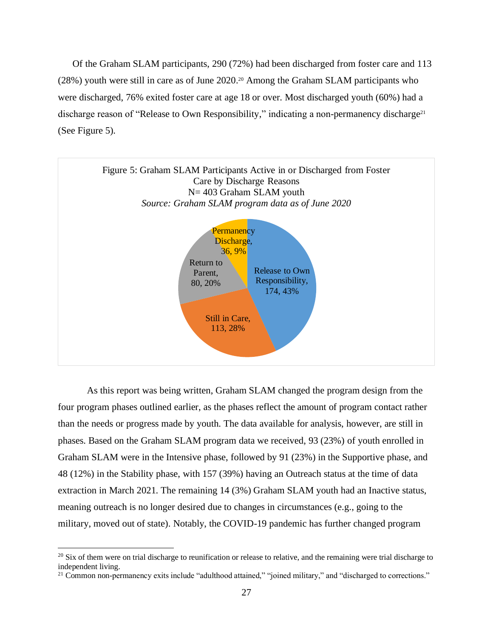Of the Graham SLAM participants, 290 (72%) had been discharged from foster care and 113 (28%) youth were still in care as of June 2020. <sup>20</sup> Among the Graham SLAM participants who were discharged, 76% exited foster care at age 18 or over. Most discharged youth (60%) had a discharge reason of "Release to Own Responsibility," indicating a non-permanency discharge<sup>21</sup> (See Figure 5).



As this report was being written, Graham SLAM changed the program design from the four program phases outlined earlier, as the phases reflect the amount of program contact rather than the needs or progress made by youth. The data available for analysis, however, are still in phases. Based on the Graham SLAM program data we received, 93 (23%) of youth enrolled in Graham SLAM were in the Intensive phase, followed by 91 (23%) in the Supportive phase, and 48 (12%) in the Stability phase, with 157 (39%) having an Outreach status at the time of data extraction in March 2021. The remaining 14 (3%) Graham SLAM youth had an Inactive status, meaning outreach is no longer desired due to changes in circumstances (e.g., going to the military, moved out of state). Notably, the COVID-19 pandemic has further changed program

<sup>&</sup>lt;sup>20</sup> Six of them were on trial discharge to reunification or release to relative, and the remaining were trial discharge to independent living.

<sup>&</sup>lt;sup>21</sup> Common non-permanency exits include "adulthood attained," "joined military," and "discharged to corrections."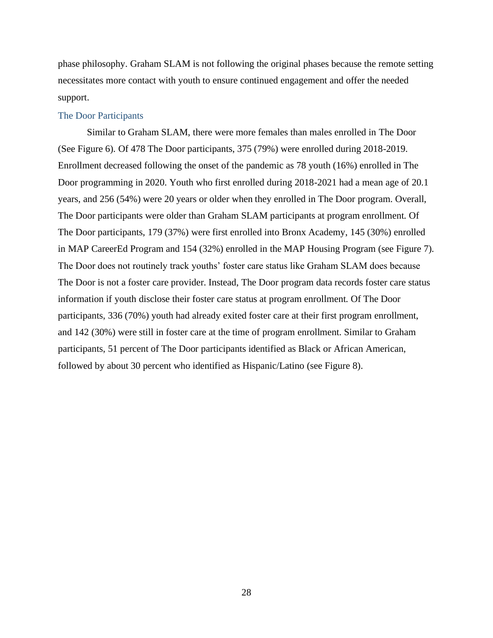phase philosophy. Graham SLAM is not following the original phases because the remote setting necessitates more contact with youth to ensure continued engagement and offer the needed support.

#### <span id="page-27-0"></span>The Door Participants

Similar to Graham SLAM, there were more females than males enrolled in The Door (See Figure 6). Of 478 The Door participants, 375 (79%) were enrolled during 2018-2019. Enrollment decreased following the onset of the pandemic as 78 youth (16%) enrolled in The Door programming in 2020. Youth who first enrolled during 2018-2021 had a mean age of 20.1 years, and 256 (54%) were 20 years or older when they enrolled in The Door program. Overall, The Door participants were older than Graham SLAM participants at program enrollment. Of The Door participants, 179 (37%) were first enrolled into Bronx Academy, 145 (30%) enrolled in MAP CareerEd Program and 154 (32%) enrolled in the MAP Housing Program (see Figure 7). The Door does not routinely track youths' foster care status like Graham SLAM does because The Door is not a foster care provider. Instead, The Door program data records foster care status information if youth disclose their foster care status at program enrollment. Of The Door participants, 336 (70%) youth had already exited foster care at their first program enrollment, and 142 (30%) were still in foster care at the time of program enrollment. Similar to Graham participants, 51 percent of The Door participants identified as Black or African American, followed by about 30 percent who identified as Hispanic/Latino (see Figure 8).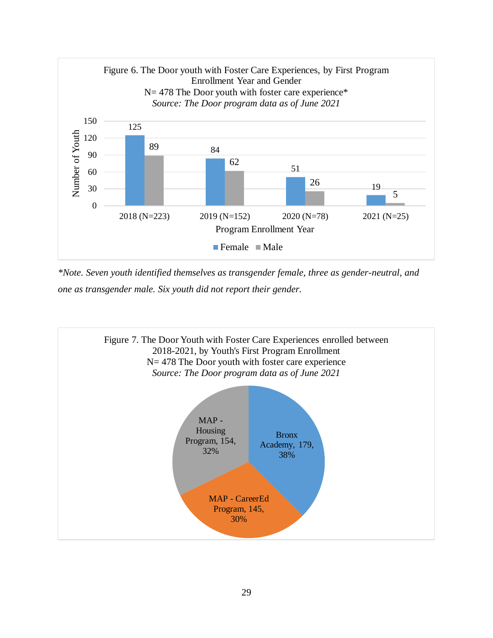

*\*Note. Seven youth identified themselves as transgender female, three as gender-neutral, and one as transgender male. Six youth did not report their gender.* 

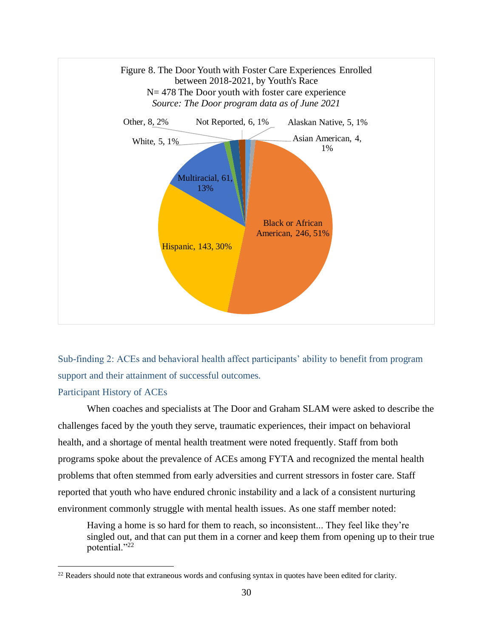

<span id="page-29-0"></span>Sub-finding 2: ACEs and behavioral health affect participants' ability to benefit from program support and their attainment of successful outcomes.

#### Participant History of ACEs

When coaches and specialists at The Door and Graham SLAM were asked to describe the challenges faced by the youth they serve, traumatic experiences, their impact on behavioral health, and a shortage of mental health treatment were noted frequently. Staff from both programs spoke about the prevalence of ACEs among FYTA and recognized the mental health problems that often stemmed from early adversities and current stressors in foster care. Staff reported that youth who have endured chronic instability and a lack of a consistent nurturing environment commonly struggle with mental health issues. As one staff member noted:

Having a home is so hard for them to reach, so inconsistent... They feel like they're singled out, and that can put them in a corner and keep them from opening up to their true potential."22

 $22$  Readers should note that extraneous words and confusing syntax in quotes have been edited for clarity.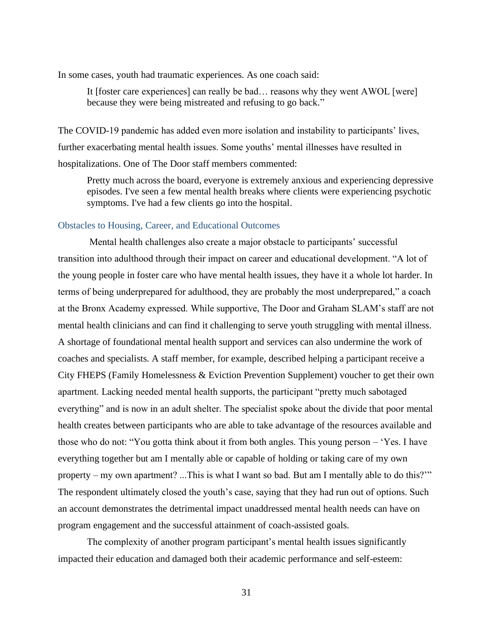In some cases, youth had traumatic experiences. As one coach said:

It [foster care experiences] can really be bad… reasons why they went AWOL [were] because they were being mistreated and refusing to go back."

The COVID-19 pandemic has added even more isolation and instability to participants' lives, further exacerbating mental health issues. Some youths' mental illnesses have resulted in hospitalizations. One of The Door staff members commented:

Pretty much across the board, everyone is extremely anxious and experiencing depressive episodes. I've seen a few mental health breaks where clients were experiencing psychotic symptoms. I've had a few clients go into the hospital.

#### Obstacles to Housing, Career, and Educational Outcomes

Mental health challenges also create a major obstacle to participants' successful transition into adulthood through their impact on career and educational development. "A lot of the young people in foster care who have mental health issues, they have it a whole lot harder. In terms of being underprepared for adulthood, they are probably the most underprepared," a coach at the Bronx Academy expressed. While supportive, The Door and Graham SLAM's staff are not mental health clinicians and can find it challenging to serve youth struggling with mental illness. A shortage of foundational mental health support and services can also undermine the work of coaches and specialists. A staff member, for example, described helping a participant receive a City FHEPS (Family Homelessness & Eviction Prevention Supplement) voucher to get their own apartment. Lacking needed mental health supports, the participant "pretty much sabotaged everything" and is now in an adult shelter. The specialist spoke about the divide that poor mental health creates between participants who are able to take advantage of the resources available and those who do not: "You gotta think about it from both angles. This young person – 'Yes. I have everything together but am I mentally able or capable of holding or taking care of my own property – my own apartment? ...This is what I want so bad. But am I mentally able to do this?'" The respondent ultimately closed the youth's case, saying that they had run out of options. Such an account demonstrates the detrimental impact unaddressed mental health needs can have on program engagement and the successful attainment of coach-assisted goals.

The complexity of another program participant's mental health issues significantly impacted their education and damaged both their academic performance and self-esteem: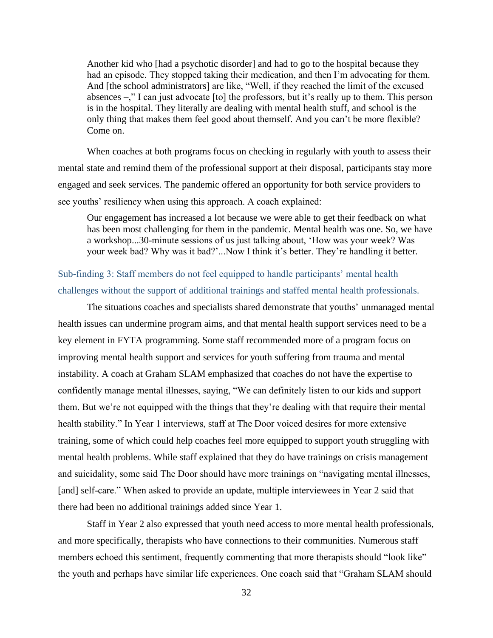Another kid who [had a psychotic disorder] and had to go to the hospital because they had an episode. They stopped taking their medication, and then I'm advocating for them. And [the school administrators] are like, "Well, if they reached the limit of the excused absences –," I can just advocate [to] the professors, but it's really up to them. This person is in the hospital. They literally are dealing with mental health stuff, and school is the only thing that makes them feel good about themself. And you can't be more flexible? Come on.

When coaches at both programs focus on checking in regularly with youth to assess their mental state and remind them of the professional support at their disposal, participants stay more engaged and seek services. The pandemic offered an opportunity for both service providers to see youths' resiliency when using this approach. A coach explained:

Our engagement has increased a lot because we were able to get their feedback on what has been most challenging for them in the pandemic. Mental health was one. So, we have a workshop...30-minute sessions of us just talking about, 'How was your week? Was your week bad? Why was it bad?'...Now I think it's better. They're handling it better.

<span id="page-31-0"></span>Sub-finding 3: Staff members do not feel equipped to handle participants' mental health challenges without the support of additional trainings and staffed mental health professionals.

The situations coaches and specialists shared demonstrate that youths' unmanaged mental health issues can undermine program aims, and that mental health support services need to be a key element in FYTA programming. Some staff recommended more of a program focus on improving mental health support and services for youth suffering from trauma and mental instability. A coach at Graham SLAM emphasized that coaches do not have the expertise to confidently manage mental illnesses, saying, "We can definitely listen to our kids and support them. But we're not equipped with the things that they're dealing with that require their mental health stability." In Year 1 interviews, staff at The Door voiced desires for more extensive training, some of which could help coaches feel more equipped to support youth struggling with mental health problems. While staff explained that they do have trainings on crisis management and suicidality, some said The Door should have more trainings on "navigating mental illnesses, [and] self-care." When asked to provide an update, multiple interviewees in Year 2 said that there had been no additional trainings added since Year 1.

Staff in Year 2 also expressed that youth need access to more mental health professionals, and more specifically, therapists who have connections to their communities. Numerous staff members echoed this sentiment, frequently commenting that more therapists should "look like" the youth and perhaps have similar life experiences. One coach said that "Graham SLAM should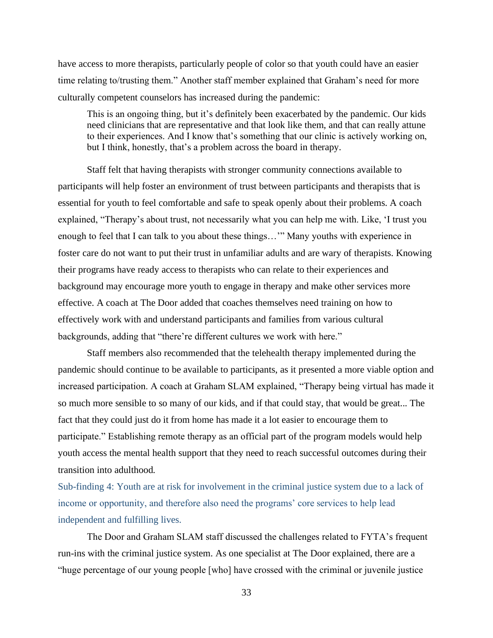have access to more therapists, particularly people of color so that youth could have an easier time relating to/trusting them." Another staff member explained that Graham's need for more culturally competent counselors has increased during the pandemic:

This is an ongoing thing, but it's definitely been exacerbated by the pandemic. Our kids need clinicians that are representative and that look like them, and that can really attune to their experiences. And I know that's something that our clinic is actively working on, but I think, honestly, that's a problem across the board in therapy.

Staff felt that having therapists with stronger community connections available to participants will help foster an environment of trust between participants and therapists that is essential for youth to feel comfortable and safe to speak openly about their problems. A coach explained, "Therapy's about trust, not necessarily what you can help me with. Like, 'I trust you enough to feel that I can talk to you about these things…'" Many youths with experience in foster care do not want to put their trust in unfamiliar adults and are wary of therapists. Knowing their programs have ready access to therapists who can relate to their experiences and background may encourage more youth to engage in therapy and make other services more effective. A coach at The Door added that coaches themselves need training on how to effectively work with and understand participants and families from various cultural backgrounds, adding that "there're different cultures we work with here."

Staff members also recommended that the telehealth therapy implemented during the pandemic should continue to be available to participants, as it presented a more viable option and increased participation. A coach at Graham SLAM explained, "Therapy being virtual has made it so much more sensible to so many of our kids, and if that could stay, that would be great... The fact that they could just do it from home has made it a lot easier to encourage them to participate." Establishing remote therapy as an official part of the program models would help youth access the mental health support that they need to reach successful outcomes during their transition into adulthood.

<span id="page-32-0"></span>Sub-finding 4: Youth are at risk for involvement in the criminal justice system due to a lack of income or opportunity, and therefore also need the programs' core services to help lead independent and fulfilling lives.

The Door and Graham SLAM staff discussed the challenges related to FYTA's frequent run-ins with the criminal justice system. As one specialist at The Door explained, there are a "huge percentage of our young people [who] have crossed with the criminal or juvenile justice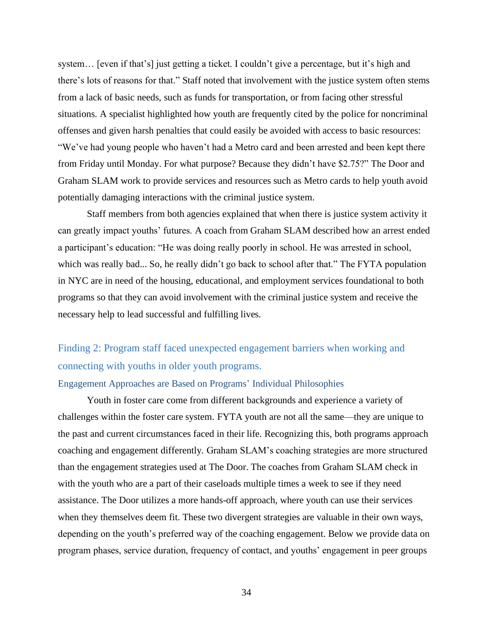system… [even if that's] just getting a ticket. I couldn't give a percentage, but it's high and there's lots of reasons for that." Staff noted that involvement with the justice system often stems from a lack of basic needs, such as funds for transportation, or from facing other stressful situations. A specialist highlighted how youth are frequently cited by the police for noncriminal offenses and given harsh penalties that could easily be avoided with access to basic resources: "We've had young people who haven't had a Metro card and been arrested and been kept there from Friday until Monday. For what purpose? Because they didn't have \$2.75?" The Door and Graham SLAM work to provide services and resources such as Metro cards to help youth avoid potentially damaging interactions with the criminal justice system.

Staff members from both agencies explained that when there is justice system activity it can greatly impact youths' futures. A coach from Graham SLAM described how an arrest ended a participant's education: "He was doing really poorly in school. He was arrested in school, which was really bad... So, he really didn't go back to school after that." The FYTA population in NYC are in need of the housing, educational, and employment services foundational to both programs so that they can avoid involvement with the criminal justice system and receive the necessary help to lead successful and fulfilling lives.

## <span id="page-33-0"></span>Finding 2: Program staff faced unexpected engagement barriers when working and connecting with youths in older youth programs.

#### <span id="page-33-1"></span>Engagement Approaches are Based on Programs' Individual Philosophies

Youth in foster care come from different backgrounds and experience a variety of challenges within the foster care system. FYTA youth are not all the same—they are unique to the past and current circumstances faced in their life. Recognizing this, both programs approach coaching and engagement differently. Graham SLAM's coaching strategies are more structured than the engagement strategies used at The Door. The coaches from Graham SLAM check in with the youth who are a part of their caseloads multiple times a week to see if they need assistance. The Door utilizes a more hands-off approach, where youth can use their services when they themselves deem fit. These two divergent strategies are valuable in their own ways, depending on the youth's preferred way of the coaching engagement. Below we provide data on program phases, service duration, frequency of contact, and youths' engagement in peer groups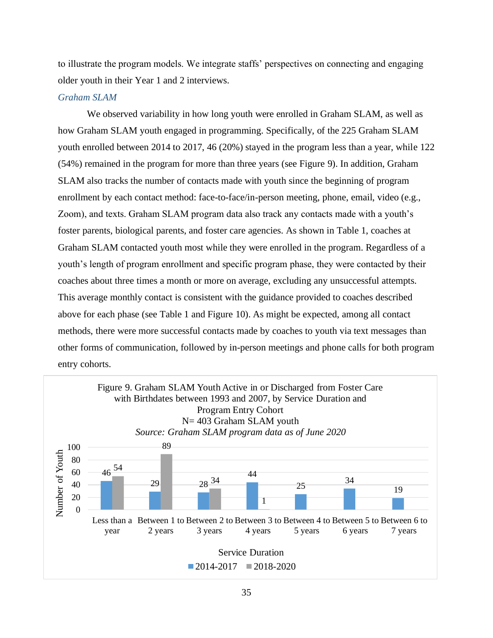to illustrate the program models. We integrate staffs' perspectives on connecting and engaging older youth in their Year 1 and 2 interviews.

#### <span id="page-34-0"></span>*Graham SLAM*

We observed variability in how long youth were enrolled in Graham SLAM, as well as how Graham SLAM youth engaged in programming. Specifically, of the 225 Graham SLAM youth enrolled between 2014 to 2017, 46 (20%) stayed in the program less than a year, while 122 (54%) remained in the program for more than three years (see Figure 9). In addition, Graham SLAM also tracks the number of contacts made with youth since the beginning of program enrollment by each contact method: face-to-face/in-person meeting, phone, email, video (e.g., Zoom), and texts. Graham SLAM program data also track any contacts made with a youth's foster parents, biological parents, and foster care agencies. As shown in Table 1, coaches at Graham SLAM contacted youth most while they were enrolled in the program. Regardless of a youth's length of program enrollment and specific program phase, they were contacted by their coaches about three times a month or more on average, excluding any unsuccessful attempts. This average monthly contact is consistent with the guidance provided to coaches described above for each phase (see Table 1 and Figure 10). As might be expected, among all contact methods, there were more successful contacts made by coaches to youth via text messages than other forms of communication, followed by in-person meetings and phone calls for both program entry cohorts.

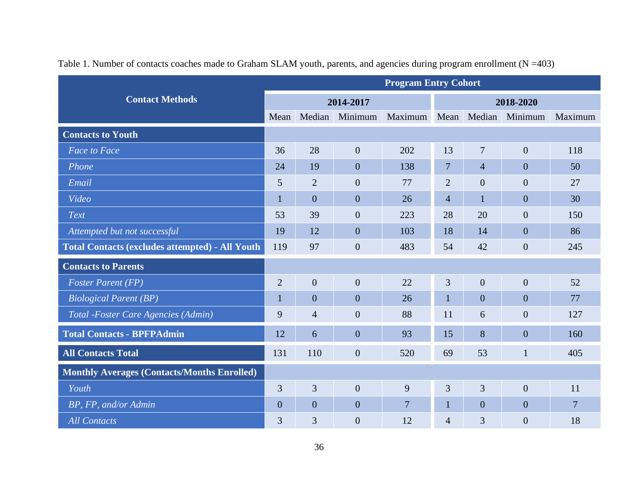|                                                        | <b>Program Entry Cohort</b> |                  |                |                             |                |                  |                |                |  |
|--------------------------------------------------------|-----------------------------|------------------|----------------|-----------------------------|----------------|------------------|----------------|----------------|--|
| <b>Contact Methods</b>                                 |                             | 2014-2017        |                |                             |                | 2018-2020        |                |                |  |
|                                                        | Mean                        |                  | Median Minimum | Maximum Mean Median Minimum |                |                  |                | Maximum        |  |
| <b>Contacts to Youth</b>                               |                             |                  |                |                             |                |                  |                |                |  |
| <b>Face to Face</b>                                    | 36                          | 28               | $\overline{0}$ | 202                         | 13             | $\tau$           | $\overline{0}$ | 118            |  |
| Phone                                                  | 24                          | 19               | $\overline{0}$ | 138                         | $\overline{7}$ | $\overline{4}$   | $\overline{0}$ | 50             |  |
| Email                                                  | 5                           | $\overline{2}$   | $\overline{0}$ | 77                          | $\overline{2}$ | $\boldsymbol{0}$ | $\overline{0}$ | 27             |  |
| Video                                                  | $\mathbf{1}$                | $\overline{0}$   | $\overline{0}$ | 26                          | $\overline{4}$ | $\mathbf{1}$     | $\overline{0}$ | 30             |  |
| Text                                                   | 53                          | 39               | $\overline{0}$ | 223                         | 28             | 20               | $\overline{0}$ | 150            |  |
| Attempted but not successful                           | 19                          | 12               | $\overline{0}$ | 103                         | 18             | 14               | $\overline{0}$ | 86             |  |
| <b>Total Contacts (excludes attempted) - All Youth</b> | 119                         | 97               | $\overline{0}$ | 483                         | 54             | 42               | $\overline{0}$ | 245            |  |
| <b>Contacts to Parents</b>                             |                             |                  |                |                             |                |                  |                |                |  |
| <b>Foster Parent (FP)</b>                              | $\overline{2}$              | $\boldsymbol{0}$ | $\overline{0}$ | 22                          | 3              | $\overline{0}$   | $\overline{0}$ | 52             |  |
| <b>Biological Parent (BP)</b>                          | $\mathbf 1$                 | $\overline{0}$   | $\overline{0}$ | 26                          | 1              | $\overline{0}$   | $\overline{0}$ | 77             |  |
| Total - Foster Care Agencies (Admin)                   | 9                           | $\overline{4}$   | $\overline{0}$ | 88                          | 11             | 6                | $\overline{0}$ | 127            |  |
| <b>Total Contacts - BPFPAdmin</b>                      | 12                          | 6                | $\overline{0}$ | 93                          | 15             | 8                | $\overline{0}$ | 160            |  |
| <b>All Contacts Total</b>                              | 131                         | 110              | $\mathbf{0}$   | 520                         | 69             | 53               | $\mathbf{1}$   | 405            |  |
| <b>Monthly Averages (Contacts/Months Enrolled)</b>     |                             |                  |                |                             |                |                  |                |                |  |
| Youth                                                  | 3                           | 3                | $\overline{0}$ | 9                           | 3              | 3                | $\overline{0}$ | 11             |  |
| BP, FP, and/or Admin                                   | $\overline{0}$              | $\overline{0}$   | $\overline{0}$ | $\overline{7}$              | 1              | $\overline{0}$   | $\overline{0}$ | $\overline{7}$ |  |
| <b>All Contacts</b>                                    | 3                           | 3                | $\overline{0}$ | 12                          | 4              | 3                | $\overline{0}$ | 18             |  |

Table 1. Number of contacts coaches made to Graham SLAM youth, parents, and agencies during program enrollment (N =403)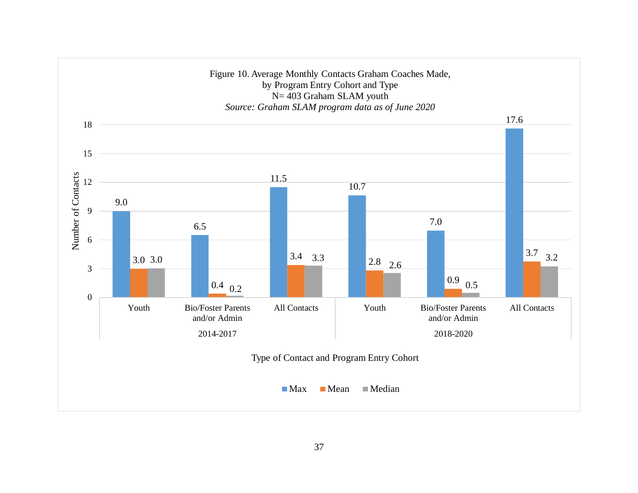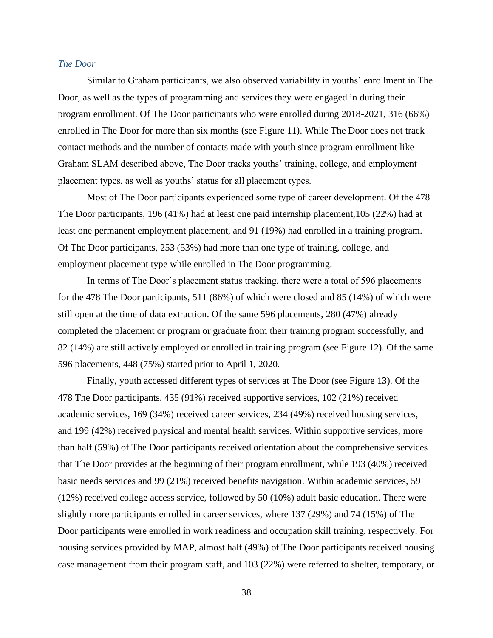### *The Door*

Similar to Graham participants, we also observed variability in youths' enrollment in The Door, as well as the types of programming and services they were engaged in during their program enrollment. Of The Door participants who were enrolled during 2018-2021, 316 (66%) enrolled in The Door for more than six months (see Figure 11). While The Door does not track contact methods and the number of contacts made with youth since program enrollment like Graham SLAM described above, The Door tracks youths' training, college, and employment placement types, as well as youths' status for all placement types.

Most of The Door participants experienced some type of career development. Of the 478 The Door participants, 196 (41%) had at least one paid internship placement,105 (22%) had at least one permanent employment placement, and 91 (19%) had enrolled in a training program. Of The Door participants, 253 (53%) had more than one type of training, college, and employment placement type while enrolled in The Door programming.

In terms of The Door's placement status tracking, there were a total of 596 placements for the 478 The Door participants, 511 (86%) of which were closed and 85 (14%) of which were still open at the time of data extraction. Of the same 596 placements, 280 (47%) already completed the placement or program or graduate from their training program successfully, and 82 (14%) are still actively employed or enrolled in training program (see Figure 12). Of the same 596 placements, 448 (75%) started prior to April 1, 2020.

Finally, youth accessed different types of services at The Door (see Figure 13). Of the 478 The Door participants, 435 (91%) received supportive services, 102 (21%) received academic services, 169 (34%) received career services, 234 (49%) received housing services, and 199 (42%) received physical and mental health services. Within supportive services, more than half (59%) of The Door participants received orientation about the comprehensive services that The Door provides at the beginning of their program enrollment, while 193 (40%) received basic needs services and 99 (21%) received benefits navigation. Within academic services, 59 (12%) received college access service, followed by 50 (10%) adult basic education. There were slightly more participants enrolled in career services, where 137 (29%) and 74 (15%) of The Door participants were enrolled in work readiness and occupation skill training, respectively. For housing services provided by MAP, almost half (49%) of The Door participants received housing case management from their program staff, and 103 (22%) were referred to shelter, temporary, or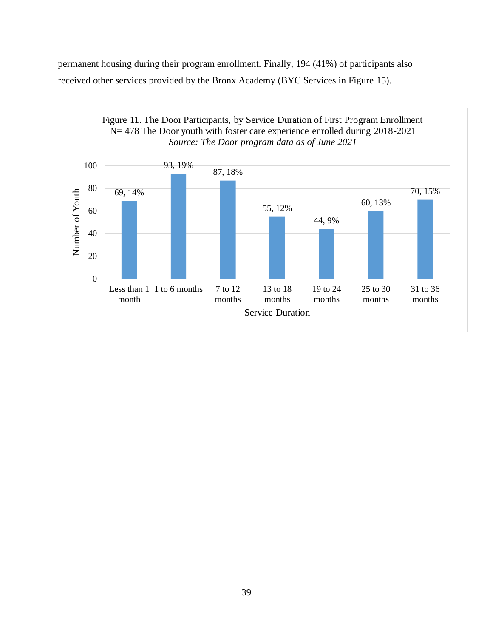permanent housing during their program enrollment. Finally, 194 (41%) of participants also received other services provided by the Bronx Academy (BYC Services in Figure 15).

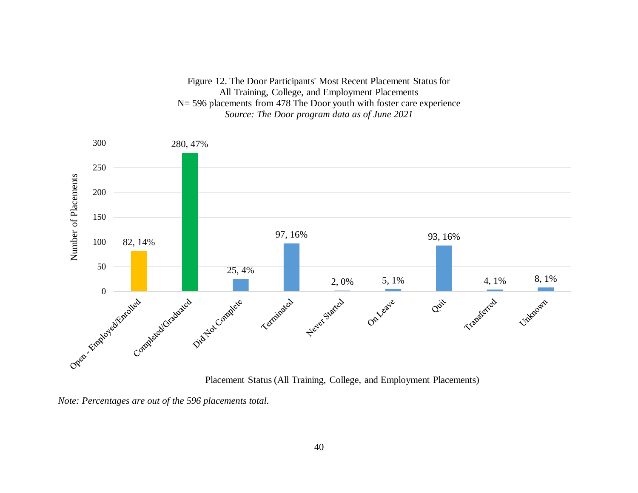

*Note: Percentages are out of the 596 placements total.*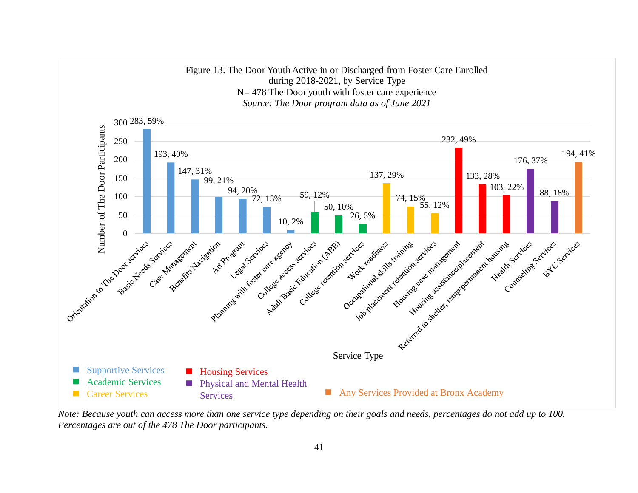

*Note: Because youth can access more than one service type depending on their goals and needs, percentages do not add up to 100. Percentages are out of the 478 The Door participants.*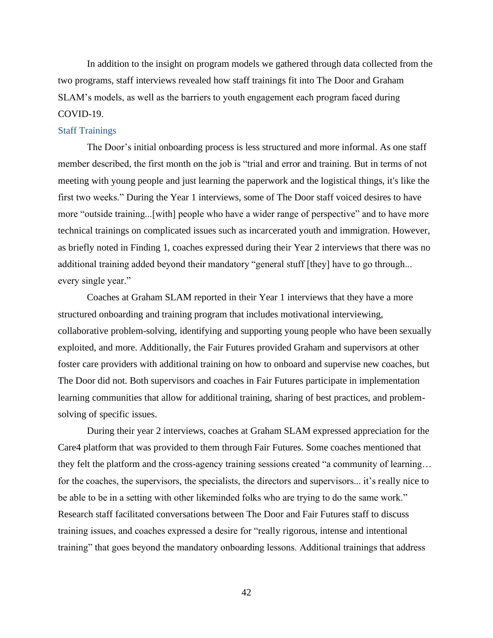In addition to the insight on program models we gathered through data collected from the two programs, staff interviews revealed how staff trainings fit into The Door and Graham SLAM's models, as well as the barriers to youth engagement each program faced during COVID-19.

### Staff Trainings

The Door's initial onboarding process is less structured and more informal. As one staff member described, the first month on the job is "trial and error and training. But in terms of not meeting with young people and just learning the paperwork and the logistical things, it's like the first two weeks." During the Year 1 interviews, some of The Door staff voiced desires to have more "outside training...[with] people who have a wider range of perspective" and to have more technical trainings on complicated issues such as incarcerated youth and immigration. However, as briefly noted in Finding 1, coaches expressed during their Year 2 interviews that there was no additional training added beyond their mandatory "general stuff [they] have to go through... every single year."

Coaches at Graham SLAM reported in their Year 1 interviews that they have a more structured onboarding and training program that includes motivational interviewing, collaborative problem-solving, identifying and supporting young people who have been sexually exploited, and more. Additionally, the Fair Futures provided Graham and supervisors at other foster care providers with additional training on how to onboard and supervise new coaches, but The Door did not. Both supervisors and coaches in Fair Futures participate in implementation learning communities that allow for additional training, sharing of best practices, and problemsolving of specific issues.

During their year 2 interviews, coaches at Graham SLAM expressed appreciation for the Care4 platform that was provided to them through Fair Futures. Some coaches mentioned that they felt the platform and the cross-agency training sessions created "a community of learning… for the coaches, the supervisors, the specialists, the directors and supervisors... it's really nice to be able to be in a setting with other likeminded folks who are trying to do the same work." Research staff facilitated conversations between The Door and Fair Futures staff to discuss training issues, and coaches expressed a desire for "really rigorous, intense and intentional training" that goes beyond the mandatory onboarding lessons. Additional trainings that address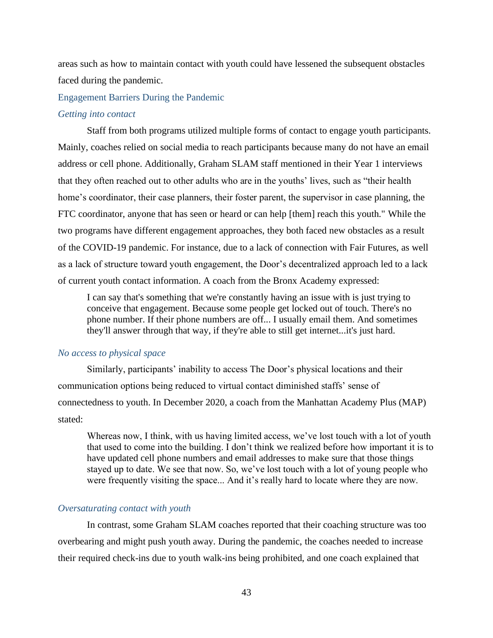areas such as how to maintain contact with youth could have lessened the subsequent obstacles faced during the pandemic.

Engagement Barriers During the Pandemic

#### *Getting into contact*

Staff from both programs utilized multiple forms of contact to engage youth participants. Mainly, coaches relied on social media to reach participants because many do not have an email address or cell phone. Additionally, Graham SLAM staff mentioned in their Year 1 interviews that they often reached out to other adults who are in the youths' lives, such as "their health home's coordinator, their case planners, their foster parent, the supervisor in case planning, the FTC coordinator, anyone that has seen or heard or can help [them] reach this youth." While the two programs have different engagement approaches, they both faced new obstacles as a result of the COVID-19 pandemic. For instance, due to a lack of connection with Fair Futures, as well as a lack of structure toward youth engagement, the Door's decentralized approach led to a lack of current youth contact information. A coach from the Bronx Academy expressed:

I can say that's something that we're constantly having an issue with is just trying to conceive that engagement. Because some people get locked out of touch. There's no phone number. If their phone numbers are off... I usually email them. And sometimes they'll answer through that way, if they're able to still get internet...it's just hard.

### *No access to physical space*

Similarly, participants' inability to access The Door's physical locations and their communication options being reduced to virtual contact diminished staffs' sense of connectedness to youth. In December 2020, a coach from the Manhattan Academy Plus (MAP) stated:

Whereas now, I think, with us having limited access, we've lost touch with a lot of youth that used to come into the building. I don't think we realized before how important it is to have updated cell phone numbers and email addresses to make sure that those things stayed up to date. We see that now. So, we've lost touch with a lot of young people who were frequently visiting the space... And it's really hard to locate where they are now.

#### *Oversaturating contact with youth*

In contrast, some Graham SLAM coaches reported that their coaching structure was too overbearing and might push youth away. During the pandemic, the coaches needed to increase their required check-ins due to youth walk-ins being prohibited, and one coach explained that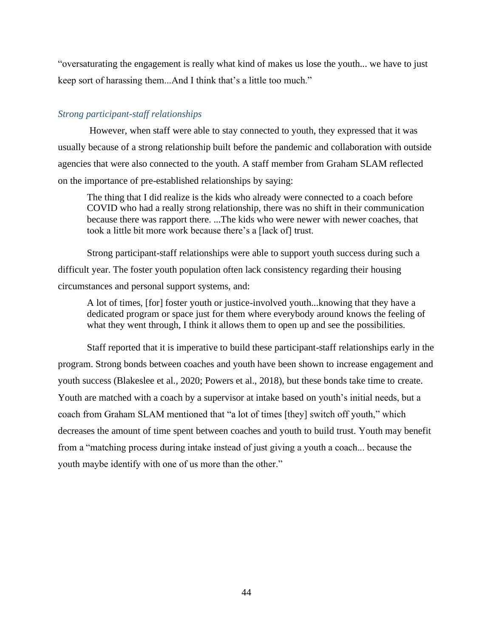"oversaturating the engagement is really what kind of makes us lose the youth... we have to just keep sort of harassing them...And I think that's a little too much."

### *Strong participant-staff relationships*

However, when staff were able to stay connected to youth, they expressed that it was usually because of a strong relationship built before the pandemic and collaboration with outside agencies that were also connected to the youth. A staff member from Graham SLAM reflected on the importance of pre-established relationships by saying:

The thing that I did realize is the kids who already were connected to a coach before COVID who had a really strong relationship, there was no shift in their communication because there was rapport there. ...The kids who were newer with newer coaches, that took a little bit more work because there's a [lack of] trust.

Strong participant-staff relationships were able to support youth success during such a difficult year. The foster youth population often lack consistency regarding their housing circumstances and personal support systems, and:

A lot of times, [for] foster youth or justice-involved youth...knowing that they have a dedicated program or space just for them where everybody around knows the feeling of what they went through, I think it allows them to open up and see the possibilities.

Staff reported that it is imperative to build these participant-staff relationships early in the program. Strong bonds between coaches and youth have been shown to increase engagement and youth success (Blakeslee et al., 2020; Powers et al., 2018), but these bonds take time to create. Youth are matched with a coach by a supervisor at intake based on youth's initial needs, but a coach from Graham SLAM mentioned that "a lot of times [they] switch off youth," which decreases the amount of time spent between coaches and youth to build trust. Youth may benefit from a "matching process during intake instead of just giving a youth a coach... because the youth maybe identify with one of us more than the other."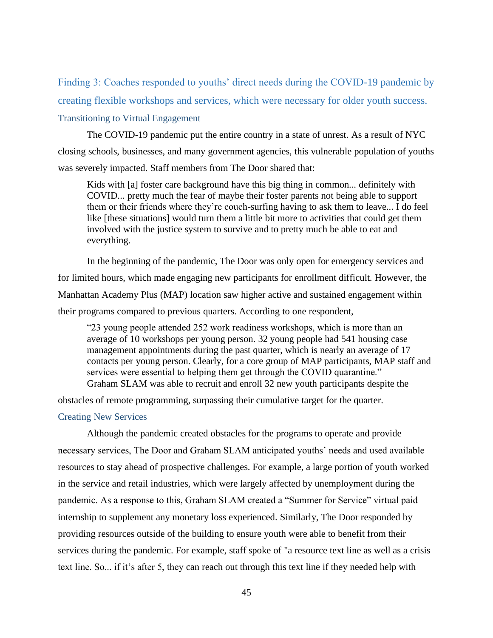Finding 3: Coaches responded to youths' direct needs during the COVID-19 pandemic by creating flexible workshops and services, which were necessary for older youth success.

### Transitioning to Virtual Engagement

The COVID-19 pandemic put the entire country in a state of unrest. As a result of NYC closing schools, businesses, and many government agencies, this vulnerable population of youths was severely impacted. Staff members from The Door shared that:

Kids with [a] foster care background have this big thing in common... definitely with COVID... pretty much the fear of maybe their foster parents not being able to support them or their friends where they're couch-surfing having to ask them to leave... I do feel like [these situations] would turn them a little bit more to activities that could get them involved with the justice system to survive and to pretty much be able to eat and everything.

In the beginning of the pandemic, The Door was only open for emergency services and for limited hours, which made engaging new participants for enrollment difficult. However, the Manhattan Academy Plus (MAP) location saw higher active and sustained engagement within their programs compared to previous quarters. According to one respondent,

"23 young people attended 252 work readiness workshops, which is more than an average of 10 workshops per young person. 32 young people had 541 housing case management appointments during the past quarter, which is nearly an average of 17 contacts per young person. Clearly, for a core group of MAP participants, MAP staff and services were essential to helping them get through the COVID quarantine." Graham SLAM was able to recruit and enroll 32 new youth participants despite the

obstacles of remote programming, surpassing their cumulative target for the quarter.

### Creating New Services

Although the pandemic created obstacles for the programs to operate and provide necessary services, The Door and Graham SLAM anticipated youths' needs and used available resources to stay ahead of prospective challenges. For example, a large portion of youth worked in the service and retail industries, which were largely affected by unemployment during the pandemic. As a response to this, Graham SLAM created a "Summer for Service" virtual paid internship to supplement any monetary loss experienced. Similarly, The Door responded by providing resources outside of the building to ensure youth were able to benefit from their services during the pandemic. For example, staff spoke of "a resource text line as well as a crisis text line. So... if it's after 5, they can reach out through this text line if they needed help with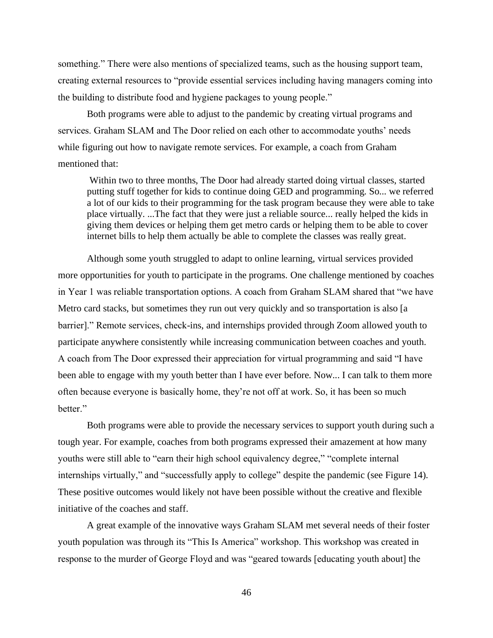something." There were also mentions of specialized teams, such as the housing support team, creating external resources to "provide essential services including having managers coming into the building to distribute food and hygiene packages to young people."

Both programs were able to adjust to the pandemic by creating virtual programs and services. Graham SLAM and The Door relied on each other to accommodate youths' needs while figuring out how to navigate remote services. For example, a coach from Graham mentioned that:

Within two to three months, The Door had already started doing virtual classes, started putting stuff together for kids to continue doing GED and programming. So... we referred a lot of our kids to their programming for the task program because they were able to take place virtually. ...The fact that they were just a reliable source... really helped the kids in giving them devices or helping them get metro cards or helping them to be able to cover internet bills to help them actually be able to complete the classes was really great.

Although some youth struggled to adapt to online learning, virtual services provided more opportunities for youth to participate in the programs. One challenge mentioned by coaches in Year 1 was reliable transportation options. A coach from Graham SLAM shared that "we have Metro card stacks, but sometimes they run out very quickly and so transportation is also [a barrier]." Remote services, check-ins, and internships provided through Zoom allowed youth to participate anywhere consistently while increasing communication between coaches and youth. A coach from The Door expressed their appreciation for virtual programming and said "I have been able to engage with my youth better than I have ever before. Now... I can talk to them more often because everyone is basically home, they're not off at work. So, it has been so much better."

Both programs were able to provide the necessary services to support youth during such a tough year. For example, coaches from both programs expressed their amazement at how many youths were still able to "earn their high school equivalency degree," "complete internal internships virtually," and "successfully apply to college" despite the pandemic (see Figure 14). These positive outcomes would likely not have been possible without the creative and flexible initiative of the coaches and staff.

A great example of the innovative ways Graham SLAM met several needs of their foster youth population was through its "This Is America" workshop. This workshop was created in response to the murder of George Floyd and was "geared towards [educating youth about] the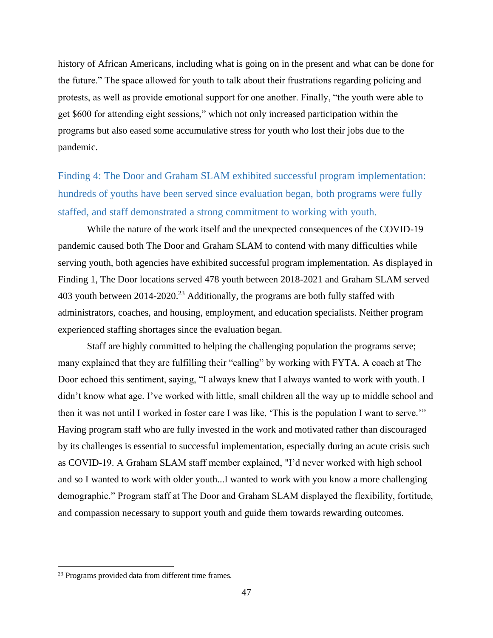history of African Americans, including what is going on in the present and what can be done for the future." The space allowed for youth to talk about their frustrations regarding policing and protests, as well as provide emotional support for one another. Finally, "the youth were able to get \$600 for attending eight sessions," which not only increased participation within the programs but also eased some accumulative stress for youth who lost their jobs due to the pandemic.

Finding 4: The Door and Graham SLAM exhibited successful program implementation: hundreds of youths have been served since evaluation began, both programs were fully staffed, and staff demonstrated a strong commitment to working with youth.

While the nature of the work itself and the unexpected consequences of the COVID-19 pandemic caused both The Door and Graham SLAM to contend with many difficulties while serving youth, both agencies have exhibited successful program implementation. As displayed in Finding 1, The Door locations served 478 youth between 2018-2021 and Graham SLAM served 403 youth between 2014-2020.<sup>23</sup> Additionally, the programs are both fully staffed with administrators, coaches, and housing, employment, and education specialists. Neither program experienced staffing shortages since the evaluation began.

Staff are highly committed to helping the challenging population the programs serve; many explained that they are fulfilling their "calling" by working with FYTA. A coach at The Door echoed this sentiment, saying, "I always knew that I always wanted to work with youth. I didn't know what age. I've worked with little, small children all the way up to middle school and then it was not until I worked in foster care I was like, 'This is the population I want to serve.'" Having program staff who are fully invested in the work and motivated rather than discouraged by its challenges is essential to successful implementation, especially during an acute crisis such as COVID-19. A Graham SLAM staff member explained, "I'd never worked with high school and so I wanted to work with older youth...I wanted to work with you know a more challenging demographic." Program staff at The Door and Graham SLAM displayed the flexibility, fortitude, and compassion necessary to support youth and guide them towards rewarding outcomes.

<sup>23</sup> Programs provided data from different time frames.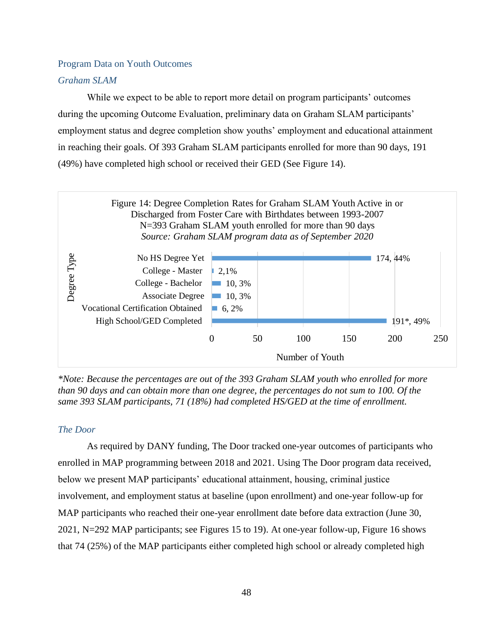### Program Data on Youth Outcomes

### *Graham SLAM*

While we expect to be able to report more detail on program participants' outcomes during the upcoming Outcome Evaluation, preliminary data on Graham SLAM participants' employment status and degree completion show youths' employment and educational attainment in reaching their goals. Of 393 Graham SLAM participants enrolled for more than 90 days, 191 (49%) have completed high school or received their GED (See Figure 14).



*\*Note: Because the percentages are out of the 393 Graham SLAM youth who enrolled for more than 90 days and can obtain more than one degree, the percentages do not sum to 100. Of the same 393 SLAM participants, 71 (18%) had completed HS/GED at the time of enrollment.*

### *The Door*

As required by DANY funding, The Door tracked one-year outcomes of participants who enrolled in MAP programming between 2018 and 2021. Using The Door program data received, below we present MAP participants' educational attainment, housing, criminal justice involvement, and employment status at baseline (upon enrollment) and one-year follow-up for MAP participants who reached their one-year enrollment date before data extraction (June 30, 2021, N=292 MAP participants; see Figures 15 to 19). At one-year follow-up, Figure 16 shows that 74 (25%) of the MAP participants either completed high school or already completed high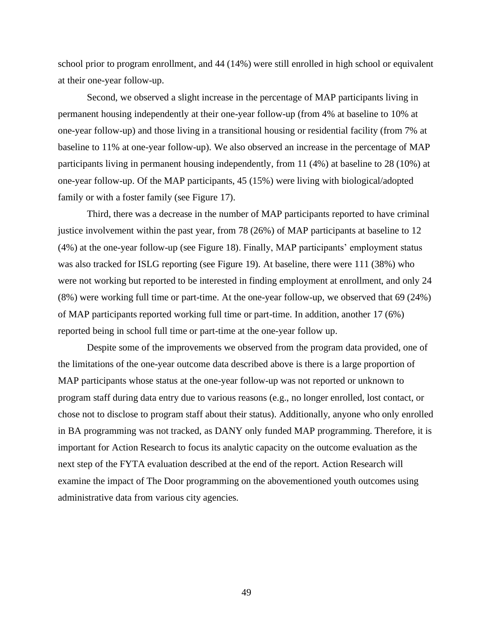school prior to program enrollment, and 44 (14%) were still enrolled in high school or equivalent at their one-year follow-up.

Second, we observed a slight increase in the percentage of MAP participants living in permanent housing independently at their one-year follow-up (from 4% at baseline to 10% at one-year follow-up) and those living in a transitional housing or residential facility (from 7% at baseline to 11% at one-year follow-up). We also observed an increase in the percentage of MAP participants living in permanent housing independently, from 11 (4%) at baseline to 28 (10%) at one-year follow-up. Of the MAP participants, 45 (15%) were living with biological/adopted family or with a foster family (see Figure 17).

Third, there was a decrease in the number of MAP participants reported to have criminal justice involvement within the past year, from 78 (26%) of MAP participants at baseline to 12 (4%) at the one-year follow-up (see Figure 18). Finally, MAP participants' employment status was also tracked for ISLG reporting (see Figure 19). At baseline, there were 111 (38%) who were not working but reported to be interested in finding employment at enrollment, and only 24 (8%) were working full time or part-time. At the one-year follow-up, we observed that 69 (24%) of MAP participants reported working full time or part-time. In addition, another 17 (6%) reported being in school full time or part-time at the one-year follow up.

Despite some of the improvements we observed from the program data provided, one of the limitations of the one-year outcome data described above is there is a large proportion of MAP participants whose status at the one-year follow-up was not reported or unknown to program staff during data entry due to various reasons (e.g., no longer enrolled, lost contact, or chose not to disclose to program staff about their status). Additionally, anyone who only enrolled in BA programming was not tracked, as DANY only funded MAP programming. Therefore, it is important for Action Research to focus its analytic capacity on the outcome evaluation as the next step of the FYTA evaluation described at the end of the report. Action Research will examine the impact of The Door programming on the abovementioned youth outcomes using administrative data from various city agencies.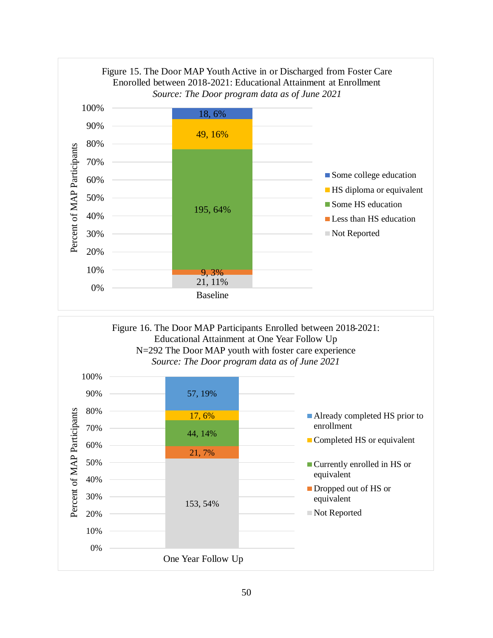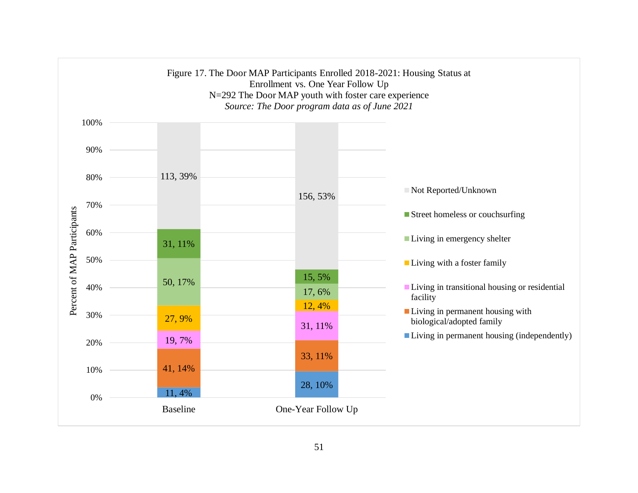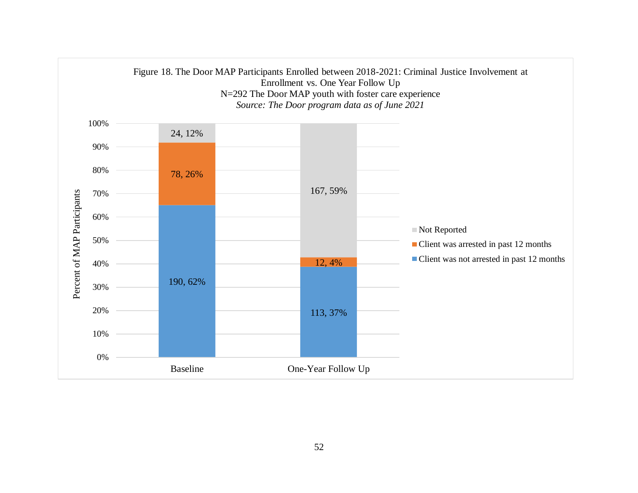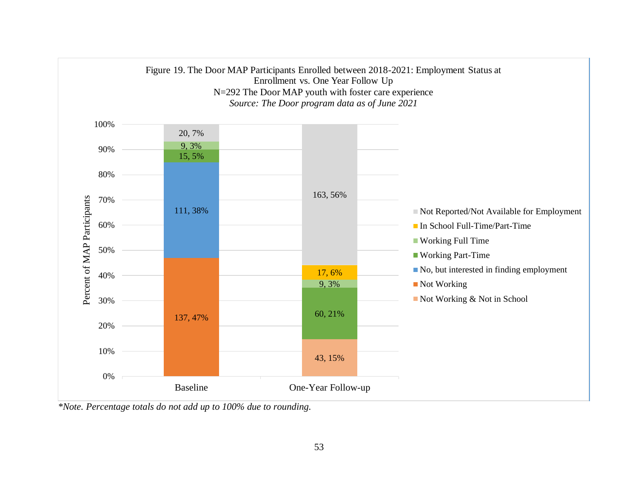

*\*Note. Percentage totals do not add up to 100% due to rounding.*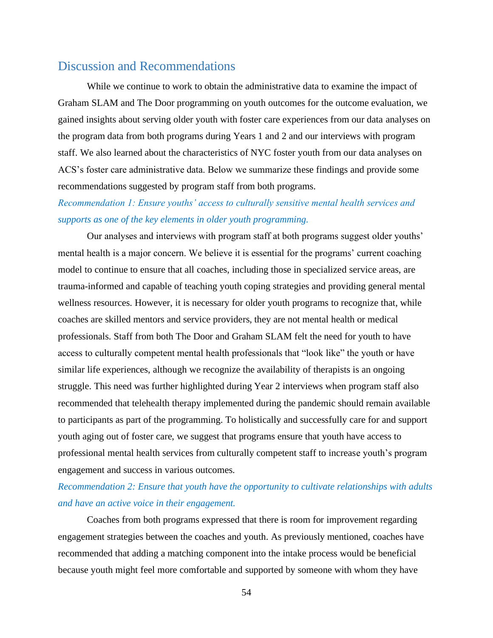# Discussion and Recommendations

While we continue to work to obtain the administrative data to examine the impact of Graham SLAM and The Door programming on youth outcomes for the outcome evaluation, we gained insights about serving older youth with foster care experiences from our data analyses on the program data from both programs during Years 1 and 2 and our interviews with program staff. We also learned about the characteristics of NYC foster youth from our data analyses on ACS's foster care administrative data. Below we summarize these findings and provide some recommendations suggested by program staff from both programs.

*Recommendation 1: Ensure youths' access to culturally sensitive mental health services and supports as one of the key elements in older youth programming.*

Our analyses and interviews with program staff at both programs suggest older youths' mental health is a major concern. We believe it is essential for the programs' current coaching model to continue to ensure that all coaches, including those in specialized service areas, are trauma-informed and capable of teaching youth coping strategies and providing general mental wellness resources. However, it is necessary for older youth programs to recognize that, while coaches are skilled mentors and service providers, they are not mental health or medical professionals. Staff from both The Door and Graham SLAM felt the need for youth to have access to culturally competent mental health professionals that "look like" the youth or have similar life experiences, although we recognize the availability of therapists is an ongoing struggle. This need was further highlighted during Year 2 interviews when program staff also recommended that telehealth therapy implemented during the pandemic should remain available to participants as part of the programming. To holistically and successfully care for and support youth aging out of foster care, we suggest that programs ensure that youth have access to professional mental health services from culturally competent staff to increase youth's program engagement and success in various outcomes.

# *Recommendation 2: Ensure that youth have the opportunity to cultivate relationships with adults and have an active voice in their engagement.*

Coaches from both programs expressed that there is room for improvement regarding engagement strategies between the coaches and youth. As previously mentioned, coaches have recommended that adding a matching component into the intake process would be beneficial because youth might feel more comfortable and supported by someone with whom they have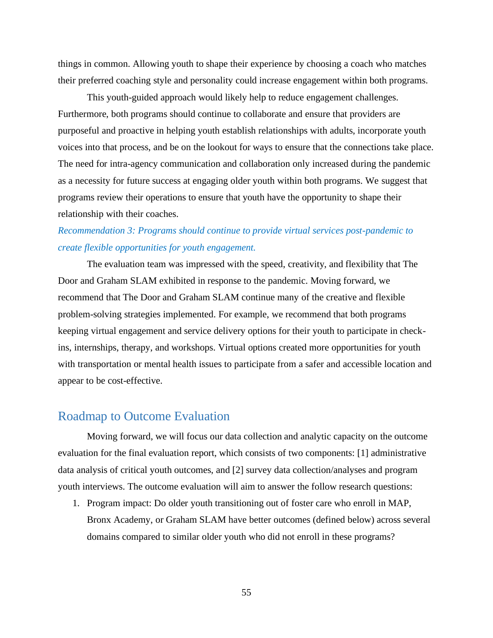things in common. Allowing youth to shape their experience by choosing a coach who matches their preferred coaching style and personality could increase engagement within both programs.

This youth-guided approach would likely help to reduce engagement challenges. Furthermore, both programs should continue to collaborate and ensure that providers are purposeful and proactive in helping youth establish relationships with adults, incorporate youth voices into that process, and be on the lookout for ways to ensure that the connections take place. The need for intra-agency communication and collaboration only increased during the pandemic as a necessity for future success at engaging older youth within both programs. We suggest that programs review their operations to ensure that youth have the opportunity to shape their relationship with their coaches.

# *Recommendation 3: Programs should continue to provide virtual services post-pandemic to create flexible opportunities for youth engagement.*

The evaluation team was impressed with the speed, creativity, and flexibility that The Door and Graham SLAM exhibited in response to the pandemic. Moving forward, we recommend that The Door and Graham SLAM continue many of the creative and flexible problem-solving strategies implemented. For example, we recommend that both programs keeping virtual engagement and service delivery options for their youth to participate in checkins, internships, therapy, and workshops. Virtual options created more opportunities for youth with transportation or mental health issues to participate from a safer and accessible location and appear to be cost-effective.

# Roadmap to Outcome Evaluation

Moving forward, we will focus our data collection and analytic capacity on the outcome evaluation for the final evaluation report, which consists of two components: [1] administrative data analysis of critical youth outcomes, and [2] survey data collection/analyses and program youth interviews. The outcome evaluation will aim to answer the follow research questions:

1. Program impact: Do older youth transitioning out of foster care who enroll in MAP, Bronx Academy, or Graham SLAM have better outcomes (defined below) across several domains compared to similar older youth who did not enroll in these programs?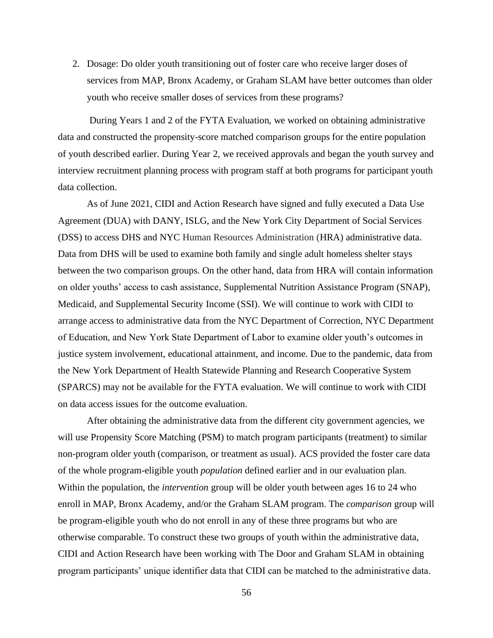2. Dosage: Do older youth transitioning out of foster care who receive larger doses of services from MAP, Bronx Academy, or Graham SLAM have better outcomes than older youth who receive smaller doses of services from these programs?

During Years 1 and 2 of the FYTA Evaluation, we worked on obtaining administrative data and constructed the propensity-score matched comparison groups for the entire population of youth described earlier. During Year 2, we received approvals and began the youth survey and interview recruitment planning process with program staff at both programs for participant youth data collection.

As of June 2021, CIDI and Action Research have signed and fully executed a Data Use Agreement (DUA) with DANY, ISLG, and the New York City Department of Social Services (DSS) to access DHS and NYC Human Resources Administration (HRA) administrative data. Data from DHS will be used to examine both family and single adult homeless shelter stays between the two comparison groups. On the other hand, data from HRA will contain information on older youths' access to cash assistance, Supplemental Nutrition Assistance Program (SNAP), Medicaid, and Supplemental Security Income (SSI). We will continue to work with CIDI to arrange access to administrative data from the NYC Department of Correction, NYC Department of Education, and New York State Department of Labor to examine older youth's outcomes in justice system involvement, educational attainment, and income. Due to the pandemic, data from the New York Department of Health Statewide Planning and Research Cooperative System (SPARCS) may not be available for the FYTA evaluation. We will continue to work with CIDI on data access issues for the outcome evaluation.

After obtaining the administrative data from the different city government agencies, we will use Propensity Score Matching (PSM) to match program participants (treatment) to similar non-program older youth (comparison, or treatment as usual). ACS provided the foster care data of the whole program-eligible youth *population* defined earlier and in our evaluation plan. Within the population, the *intervention* group will be older youth between ages 16 to 24 who enroll in MAP, Bronx Academy, and/or the Graham SLAM program. The *comparison* group will be program-eligible youth who do not enroll in any of these three programs but who are otherwise comparable. To construct these two groups of youth within the administrative data, CIDI and Action Research have been working with The Door and Graham SLAM in obtaining program participants' unique identifier data that CIDI can be matched to the administrative data.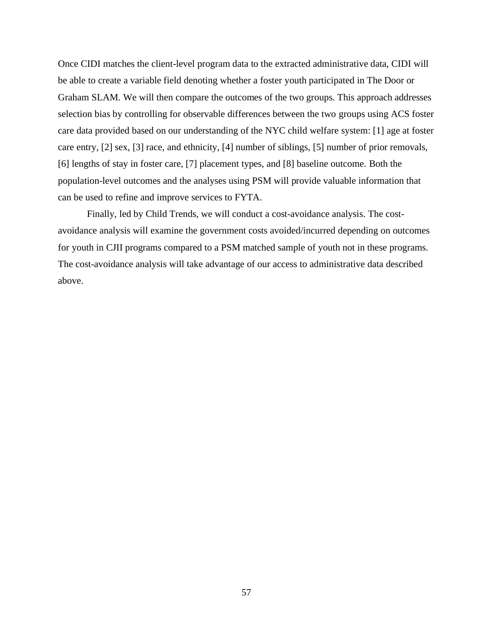Once CIDI matches the client-level program data to the extracted administrative data, CIDI will be able to create a variable field denoting whether a foster youth participated in The Door or Graham SLAM. We will then compare the outcomes of the two groups. This approach addresses selection bias by controlling for observable differences between the two groups using ACS foster care data provided based on our understanding of the NYC child welfare system: [1] age at foster care entry, [2] sex, [3] race, and ethnicity, [4] number of siblings, [5] number of prior removals, [6] lengths of stay in foster care, [7] placement types, and [8] baseline outcome. Both the population-level outcomes and the analyses using PSM will provide valuable information that can be used to refine and improve services to FYTA.

Finally, led by Child Trends, we will conduct a cost-avoidance analysis. The costavoidance analysis will examine the government costs avoided/incurred depending on outcomes for youth in CJII programs compared to a PSM matched sample of youth not in these programs. The cost-avoidance analysis will take advantage of our access to administrative data described above.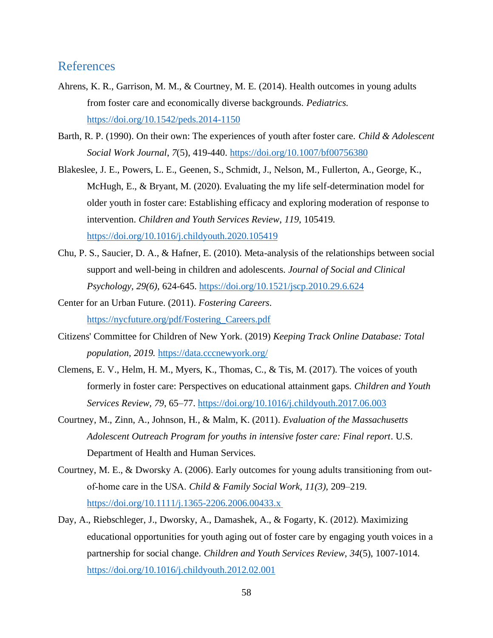# **References**

- Ahrens, K. R., Garrison, M. M., & Courtney, M. E. (2014). Health outcomes in young adults from foster care and economically diverse backgrounds. *Pediatrics.* <https://doi.org/10.1542/peds.2014-1150>
- Barth, R. P. (1990). On their own: The experiences of youth after foster care. *Child & Adolescent Social Work Journal*, *7*(5), 419-440.<https://doi.org/10.1007/bf00756380>
- Blakeslee, J. E., Powers, L. E., Geenen, S., Schmidt, J., Nelson, M., Fullerton, A., George, K., McHugh, E., & Bryant, M. (2020). Evaluating the my life self-determination model for older youth in foster care: Establishing efficacy and exploring moderation of response to intervention. *Children and Youth Services Review*, *119*, 105419. <https://doi.org/10.1016/j.childyouth.2020.105419>
- Chu, P. S., Saucier, D. A., & Hafner, E. (2010). Meta-analysis of the relationships between social support and well-being in children and adolescents. *Journal of Social and Clinical Psychology, 29(6),* 624-645.<https://doi.org/10.1521/jscp.2010.29.6.624>
- Center for an Urban Future. (2011). *Fostering Careers*. [https://nycfuture.org/pdf/Fostering\\_Careers.pdf](https://nycfuture.org/pdf/Fostering_Careers.pdf)
- Citizens' Committee for Children of New York. (2019) *Keeping Track Online Database: Total population, 2019.* <https://data.cccnewyork.org/>
- Clemens, E. V., Helm, H. M., Myers, K., Thomas, C., & Tis, M. (2017). The voices of youth formerly in foster care: Perspectives on educational attainment gaps. *Children and Youth Services Review, 79*, 65–77.<https://doi.org/10.1016/j.childyouth.2017.06.003>
- Courtney, M., Zinn, A., Johnson, H., & Malm, K. (2011). *Evaluation of the Massachusetts Adolescent Outreach Program for youths in intensive foster care: Final report*. U.S. Department of Health and Human Services.
- Courtney, M. E., & Dworsky A. (2006). Early outcomes for young adults transitioning from out‐ of‐home care in the USA. *Child & Family Social Work, 11(3),* 209–219. [https://doi.org/10.1111/j.1365-2206.2006.00433.x](https://doi.org/10.1111/j.1365-2206.2006.00433.x )
- Day, A., Riebschleger, J., Dworsky, A., Damashek, A., & Fogarty, K. (2012). Maximizing educational opportunities for youth aging out of foster care by engaging youth voices in a partnership for social change. *Children and Youth Services Review*, *34*(5), 1007-1014. <https://doi.org/10.1016/j.childyouth.2012.02.001>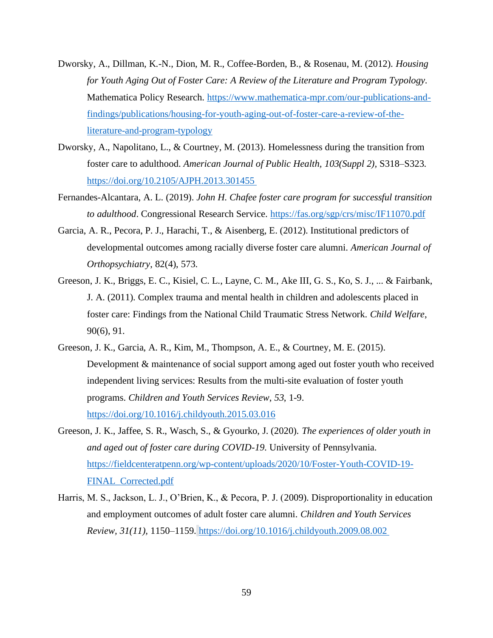- Dworsky, A., Dillman, K.-N., Dion, M. R., Coffee-Borden, B., & Rosenau, M. (2012). *Housing for Youth Aging Out of Foster Care: A Review of the Literature and Program Typology.*  Mathematica Policy Research. [https://www.mathematica-mpr.com/our-publications-and](https://www.mathematica-mpr.com/our-publications-and-findings/publications/housing-for-youth-aging-out-of-foster-care-a-review-of-the-literature-and-program-typology)[findings/publications/housing-for-youth-aging-out-of-foster-care-a-review-of-the](https://www.mathematica-mpr.com/our-publications-and-findings/publications/housing-for-youth-aging-out-of-foster-care-a-review-of-the-literature-and-program-typology)[literature-and-program-typology](https://www.mathematica-mpr.com/our-publications-and-findings/publications/housing-for-youth-aging-out-of-foster-care-a-review-of-the-literature-and-program-typology)
- Dworsky, A., Napolitano, L., & Courtney, M. (2013). Homelessness during the transition from foster care to adulthood. *American Journal of Public Health, 103(Suppl 2),* S318–S323. [https://doi.org/10.2105/AJPH.2013.301455](https://doi.org/10.2105/AJPH.2013.301455 )
- Fernandes-Alcantara, A. L. (2019). *John H. Chafee foster care program for successful transition to adulthood*. Congressional Research Service.<https://fas.org/sgp/crs/misc/IF11070.pdf>
- Garcia, A. R., Pecora, P. J., Harachi, T., & Aisenberg, E. (2012). Institutional predictors of developmental outcomes among racially diverse foster care alumni. *American Journal of Orthopsychiatry*, 82(4), 573.
- Greeson, J. K., Briggs, E. C., Kisiel, C. L., Layne, C. M., Ake III, G. S., Ko, S. J., ... & Fairbank, J. A. (2011). Complex trauma and mental health in children and adolescents placed in foster care: Findings from the National Child Traumatic Stress Network. *Child Welfare*, 90(6), 91.
- Greeson, J. K., Garcia, A. R., Kim, M., Thompson, A. E., & Courtney, M. E. (2015). Development & maintenance of social support among aged out foster youth who received independent living services: Results from the multi-site evaluation of foster youth programs. *Children and Youth Services Review*, *53*, 1-9. <https://doi.org/10.1016/j.childyouth.2015.03.016>
- Greeson, J. K., Jaffee, S. R., Wasch, S., & Gyourko, J. (2020). *The experiences of older youth in and aged out of foster care during COVID-19*. University of Pennsylvania. [https://fieldcenteratpenn.org/wp-content/uploads/2020/10/Foster-Youth-COVID-19-](https://fieldcenteratpenn.org/wp-content/uploads/2020/10/Foster-Youth-COVID-19-FINAL_Corrected.pdf) [FINAL\\_Corrected.pdf](https://fieldcenteratpenn.org/wp-content/uploads/2020/10/Foster-Youth-COVID-19-FINAL_Corrected.pdf)
- Harris, M. S., Jackson, L. J., O'Brien, K., & Pecora, P. J. (2009). Disproportionality in education and employment outcomes of adult foster care alumni. *Children and Youth Services Review, 31(11),* 1150–1159. [https://doi.org/10.1016/j.childyouth.2009.08.002](https://doi.org/10.1016/j.childyouth.2009.08.002 )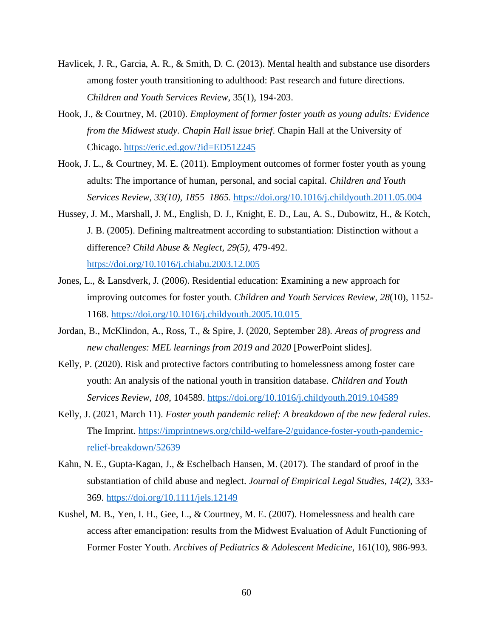- Havlicek, J. R., Garcia, A. R., & Smith, D. C. (2013). Mental health and substance use disorders among foster youth transitioning to adulthood: Past research and future directions. *Children and Youth Services Review*, 35(1), 194-203.
- Hook, J., & Courtney, M. (2010). *Employment of former foster youth as young adults: Evidence from the Midwest study. Chapin Hall issue brief*. Chapin Hall at the University of Chicago.<https://eric.ed.gov/?id=ED512245>
- Hook, J. L., & Courtney, M. E. (2011). Employment outcomes of former foster youth as young adults: The importance of human, personal, and social capital. *Children and Youth Services Review, 33(10), 1855–1865.* <https://doi.org/10.1016/j.childyouth.2011.05.004>
- Hussey, J. M., Marshall, J. M., English, D. J., Knight, E. D., Lau, A. S., Dubowitz, H., & Kotch, J. B. (2005). Defining maltreatment according to substantiation: Distinction without a difference? *Child Abuse & Neglect, 29(5),* 479-492. <https://doi.org/10.1016/j.chiabu.2003.12.005>
- Jones, L., & Lansdverk, J. (2006). Residential education: Examining a new approach for improving outcomes for foster youth. *Children and Youth Services Review*, *28*(10), 1152- 1168. [https://doi.org/10.1016/j.childyouth.2005.10.015](https://doi.org/10.1016/j.childyouth.2005.10.015 )
- Jordan, B., McKlindon, A., Ross, T., & Spire, J. (2020, September 28). *Areas of progress and new challenges: MEL learnings from 2019 and 2020* [PowerPoint slides].
- Kelly, P. (2020). Risk and protective factors contributing to homelessness among foster care youth: An analysis of the national youth in transition database. *Children and Youth Services Review*, *108*, 104589.<https://doi.org/10.1016/j.childyouth.2019.104589>
- Kelly, J. (2021, March 11). *Foster youth pandemic relief: A breakdown of the new federal rules*. The Imprint. [https://imprintnews.org/child-welfare-2/guidance-foster-youth-pandemic](https://imprintnews.org/child-welfare-2/guidance-foster-youth-pandemic-relief-breakdown/52639)[relief-breakdown/52639](https://imprintnews.org/child-welfare-2/guidance-foster-youth-pandemic-relief-breakdown/52639)
- Kahn, N. E., Gupta-Kagan, J., & Eschelbach Hansen, M. (2017). The standard of proof in the substantiation of child abuse and neglect. *Journal of Empirical Legal Studies, 14(2),* 333- 369.<https://doi.org/10.1111/jels.12149>
- Kushel, M. B., Yen, I. H., Gee, L., & Courtney, M. E. (2007). Homelessness and health care access after emancipation: results from the Midwest Evaluation of Adult Functioning of Former Foster Youth. *Archives of Pediatrics & Adolescent Medicine*, 161(10), 986-993.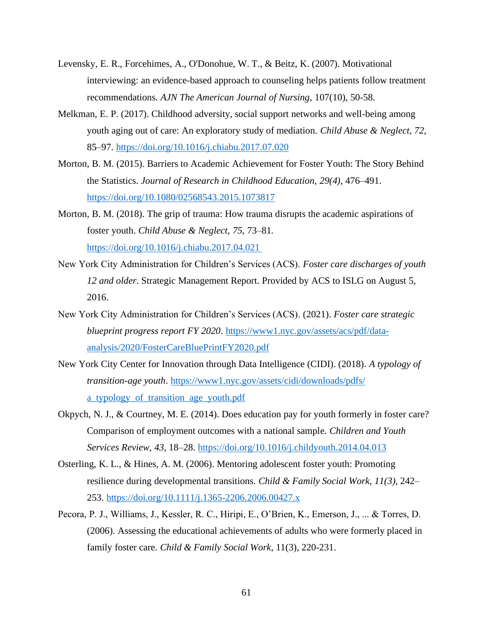- Levensky, E. R., Forcehimes, A., O'Donohue, W. T., & Beitz, K. (2007). Motivational interviewing: an evidence-based approach to counseling helps patients follow treatment recommendations. *AJN The American Journal of Nursing*, 107(10), 50-58.
- Melkman, E. P. (2017). Childhood adversity, social support networks and well-being among youth aging out of care: An exploratory study of mediation. *Child Abuse & Neglect, 72,* 85–97.<https://doi.org/10.1016/j.chiabu.2017.07.020>
- Morton, B. M. (2015). Barriers to Academic Achievement for Foster Youth: The Story Behind the Statistics. *Journal of Research in Childhood Education, 29(4),* 476–491. <https://doi.org/10.1080/02568543.2015.1073817>
- Morton, B. M. (2018). The grip of trauma: How trauma disrupts the academic aspirations of foster youth. *Child Abuse & Neglect, 75*, 73–81. [https://doi.org/10.1016/j.chiabu.2017.04.021](https://doi.org/10.1016/j.chiabu.2017.04.021 )
- New York City Administration for Children's Services (ACS). *Foster care discharges of youth 12 and older*. Strategic Management Report. Provided by ACS to ISLG on August 5, 2016.
- New York City Administration for Children's Services (ACS). (2021). *Foster care strategic blueprint progress report FY 2020*. [https://www1.nyc.gov/assets/acs/pdf/data](https://www1.nyc.gov/assets/acs/pdf/data-analysis/2020/FosterCareBluePrintFY2020.pdf)[analysis/2020/FosterCareBluePrintFY2020.pdf](https://www1.nyc.gov/assets/acs/pdf/data-analysis/2020/FosterCareBluePrintFY2020.pdf)
- New York City Center for Innovation through Data Intelligence (CIDI). (2018). *A typology of transition-age youth*. [https://www1.nyc.gov/assets/cidi/downloads/pdfs/](https://www1.nyc.gov/assets/cidi/downloads/pdfs/a_typology_of_transition_age_youth.pdf) [a\\_typology\\_of\\_transition\\_age\\_youth.pdf](https://www1.nyc.gov/assets/cidi/downloads/pdfs/a_typology_of_transition_age_youth.pdf)
- Okpych, N. J., & Courtney, M. E. (2014). Does education pay for youth formerly in foster care? Comparison of employment outcomes with a national sample*. Children and Youth Services Review, 43*, 18–28.<https://doi.org/10.1016/j.childyouth.2014.04.013>
- Osterling, K. L., & Hines, A. M. (2006). Mentoring adolescent foster youth: Promoting resilience during developmental transitions. *Child & Family Social Work, 11(3)*, 242– 253.<https://doi.org/10.1111/j.1365-2206.2006.00427.x>
- Pecora, P. J., Williams, J., Kessler, R. C., Hiripi, E., O'Brien, K., Emerson, J., ... & Torres, D. (2006). Assessing the educational achievements of adults who were formerly placed in family foster care. *Child & Family Social Work*, 11(3), 220-231.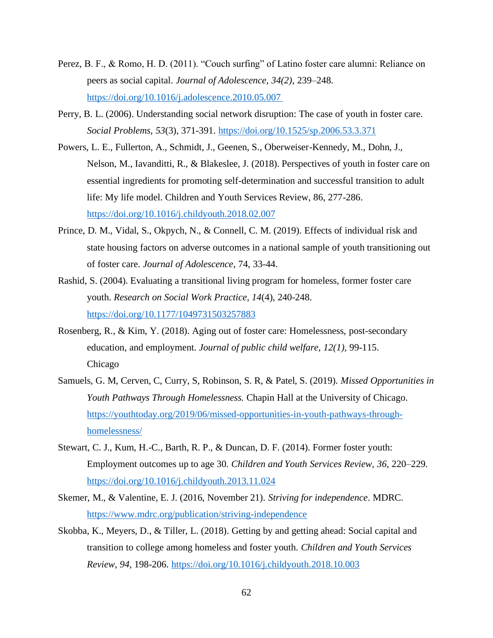- Perez, B. F., & Romo, H. D. (2011). "Couch surfing" of Latino foster care alumni: Reliance on peers as social capital. *Journal of Adolescence, 34(2)*, 239–248. [https://doi.org/10.1016/j.adolescence.2010.05.007](https://doi.org/10.1016/j.adolescence.2010.05.007 )
- Perry, B. L. (2006). Understanding social network disruption: The case of youth in foster care. *Social Problems*, *53*(3), 371-391.<https://doi.org/10.1525/sp.2006.53.3.371>
- Powers, L. E., Fullerton, A., Schmidt, J., Geenen, S., Oberweiser-Kennedy, M., Dohn, J., Nelson, M., Iavanditti, R., & Blakeslee, J. (2018). Perspectives of youth in foster care on essential ingredients for promoting self-determination and successful transition to adult life: My life model. Children and Youth Services Review, 86, 277-286. <https://doi.org/10.1016/j.childyouth.2018.02.007>
- Prince, D. M., Vidal, S., Okpych, N., & Connell, C. M. (2019). Effects of individual risk and state housing factors on adverse outcomes in a national sample of youth transitioning out of foster care. *Journal of Adolescence*, 74, 33-44.
- Rashid, S. (2004). Evaluating a transitional living program for homeless, former foster care youth. *Research on Social Work Practice*, *14*(4), 240-248. <https://doi.org/10.1177/1049731503257883>
- Rosenberg, R., & Kim, Y. (2018). Aging out of foster care: Homelessness, post-secondary education, and employment. *Journal of public child welfare, 12(1),* 99-115. Chicago
- Samuels, G. M, Cerven, C, Curry, S, Robinson, S. R, & Patel, S. (2019). *Missed Opportunities in Youth Pathways Through Homelessness.* Chapin Hall at the University of Chicago. [https://youthtoday.org/2019/06/missed-opportunities-in-youth-pathways-through](https://youthtoday.org/2019/06/missed-opportunities-in-youth-pathways-through-homelessness/)[homelessness/](https://youthtoday.org/2019/06/missed-opportunities-in-youth-pathways-through-homelessness/)
- Stewart, C. J., Kum, H.-C., Barth, R. P., & Duncan, D. F. (2014). Former foster youth: Employment outcomes up to age 30. *Children and Youth Services Review, 36*, 220–229. [https://doi.org/10.1016/j.childyouth.2013.11.024](https://doi.org/10.1016/j.childyouth.2013.11.024%20 )
- Skemer, M., & Valentine, E. J. (2016, November 21). *Striving for independence*. MDRC. <https://www.mdrc.org/publication/striving-independence>
- Skobba, K., Meyers, D., & Tiller, L. (2018). Getting by and getting ahead: Social capital and transition to college among homeless and foster youth. *Children and Youth Services Review*, *94*, 198-206.<https://doi.org/10.1016/j.childyouth.2018.10.003>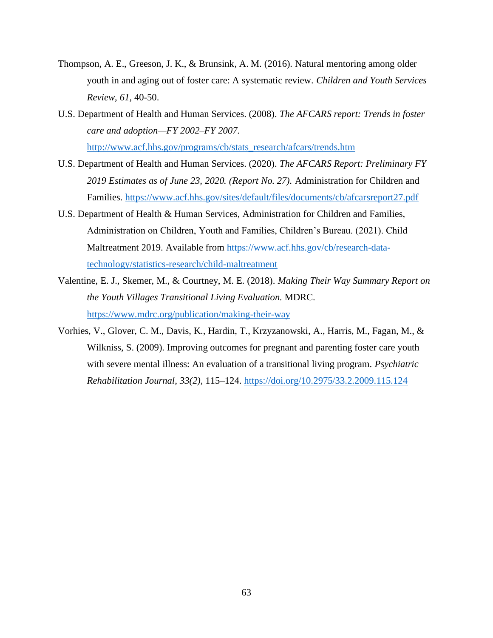- Thompson, A. E., Greeson, J. K., & Brunsink, A. M. (2016). Natural mentoring among older youth in and aging out of foster care: A systematic review. *Children and Youth Services Review*, *61*, 40-50.
- U.S. Department of Health and Human Services. (2008). *The AFCARS report: Trends in foster care and adoption—FY 2002–FY 2007*. [http://www.acf.hhs.gov/programs/cb/stats\\_research/afcars/trends.htm](http://www.acf.hhs.gov/programs/cb/stats_research/afcars/trends.htm)
- U.S. Department of Health and Human Services. (2020). *The AFCARS Report: Preliminary FY 2019 Estimates as of June 23, 2020. (Report No. 27).* Administration for Children and Families.<https://www.acf.hhs.gov/sites/default/files/documents/cb/afcarsreport27.pdf>
- U.S. Department of Health & Human Services, Administration for Children and Families, Administration on Children, Youth and Families, Children's Bureau. (2021). Child Maltreatment 2019. Available from [https://www.acf.hhs.gov/cb/research-data](https://www.acf.hhs.gov/cb/research-data-technology/statistics-research/child-maltreatment)[technology/statistics-research/child-maltreatment](https://www.acf.hhs.gov/cb/research-data-technology/statistics-research/child-maltreatment)
- Valentine, E. J., Skemer, M., & Courtney, M. E. (2018). *Making Their Way Summary Report on the Youth Villages Transitional Living Evaluation.* MDRC. <https://www.mdrc.org/publication/making-their-way>
- Vorhies, V., Glover, C. M., Davis, K., Hardin, T., Krzyzanowski, A., Harris, M., Fagan, M., & Wilkniss, S. (2009). Improving outcomes for pregnant and parenting foster care youth with severe mental illness: An evaluation of a transitional living program. *Psychiatric Rehabilitation Journal, 33(2),* 115–124. <https://doi.org/10.2975/33.2.2009.115.124>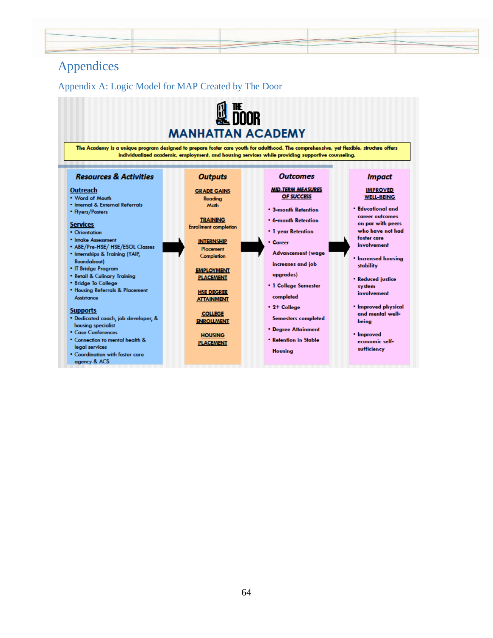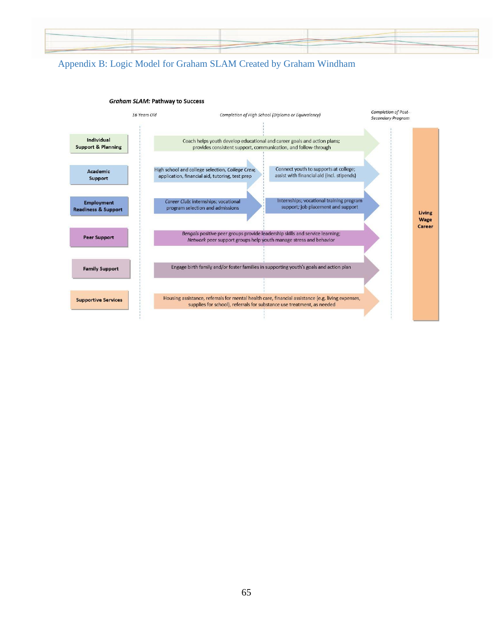

# Appendix B: Logic Model for Graham SLAM Created by Graham Windham

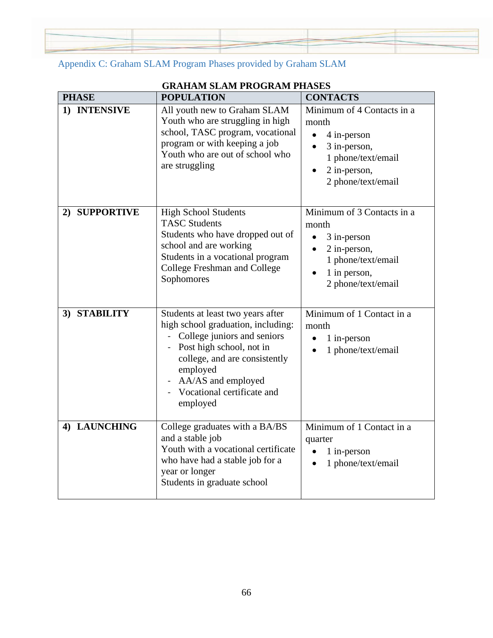Appendix C: Graham SLAM Program Phases provided by Graham SLAM

# **GRAHAM SLAM PROGRAM PHASES**

| <b>PHASE</b>            | <b>POPULATION</b>                                                                                                                                                                                                                               | <b>CONTACTS</b>                                                                                                                |
|-------------------------|-------------------------------------------------------------------------------------------------------------------------------------------------------------------------------------------------------------------------------------------------|--------------------------------------------------------------------------------------------------------------------------------|
| 1) INTENSIVE            | All youth new to Graham SLAM<br>Youth who are struggling in high<br>school, TASC program, vocational<br>program or with keeping a job<br>Youth who are out of school who<br>are struggling                                                      | Minimum of 4 Contacts in a<br>month<br>4 in-person<br>3 in-person,<br>1 phone/text/email<br>2 in-person,<br>2 phone/text/email |
| <b>SUPPORTIVE</b><br>2) | <b>High School Students</b><br><b>TASC Students</b><br>Students who have dropped out of<br>school and are working<br>Students in a vocational program<br><b>College Freshman and College</b><br>Sophomores                                      | Minimum of 3 Contacts in a<br>month<br>3 in-person<br>2 in-person,<br>1 phone/text/email<br>1 in person,<br>2 phone/text/email |
| 3) STABILITY            | Students at least two years after<br>high school graduation, including:<br>College juniors and seniors<br>Post high school, not in<br>college, and are consistently<br>employed<br>AA/AS and employed<br>Vocational certificate and<br>employed | Minimum of 1 Contact in a<br>month<br>1 in-person<br>1 phone/text/email                                                        |
| 4) LAUNCHING            | College graduates with a BA/BS<br>and a stable job<br>Youth with a vocational certificate<br>who have had a stable job for a<br>year or longer<br>Students in graduate school                                                                   | Minimum of 1 Contact in a<br>quarter<br>1 in-person<br>1 phone/text/email                                                      |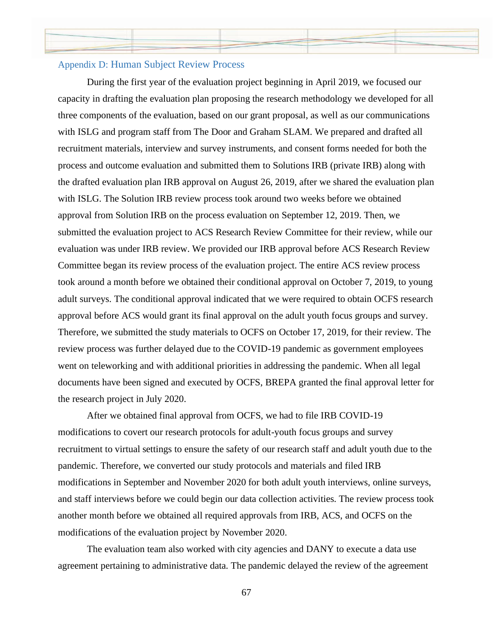### Appendix D: Human Subject Review Process

During the first year of the evaluation project beginning in April 2019, we focused our capacity in drafting the evaluation plan proposing the research methodology we developed for all three components of the evaluation, based on our grant proposal, as well as our communications with ISLG and program staff from The Door and Graham SLAM. We prepared and drafted all recruitment materials, interview and survey instruments, and consent forms needed for both the process and outcome evaluation and submitted them to Solutions IRB (private IRB) along with the drafted evaluation plan IRB approval on August 26, 2019, after we shared the evaluation plan with ISLG. The Solution IRB review process took around two weeks before we obtained approval from Solution IRB on the process evaluation on September 12, 2019. Then, we submitted the evaluation project to ACS Research Review Committee for their review, while our evaluation was under IRB review. We provided our IRB approval before ACS Research Review Committee began its review process of the evaluation project. The entire ACS review process took around a month before we obtained their conditional approval on October 7, 2019, to young adult surveys. The conditional approval indicated that we were required to obtain OCFS research approval before ACS would grant its final approval on the adult youth focus groups and survey. Therefore, we submitted the study materials to OCFS on October 17, 2019, for their review. The review process was further delayed due to the COVID-19 pandemic as government employees went on teleworking and with additional priorities in addressing the pandemic. When all legal documents have been signed and executed by OCFS, BREPA granted the final approval letter for the research project in July 2020.

After we obtained final approval from OCFS, we had to file IRB COVID-19 modifications to covert our research protocols for adult-youth focus groups and survey recruitment to virtual settings to ensure the safety of our research staff and adult youth due to the pandemic. Therefore, we converted our study protocols and materials and filed IRB modifications in September and November 2020 for both adult youth interviews, online surveys, and staff interviews before we could begin our data collection activities. The review process took another month before we obtained all required approvals from IRB, ACS, and OCFS on the modifications of the evaluation project by November 2020.

The evaluation team also worked with city agencies and DANY to execute a data use agreement pertaining to administrative data. The pandemic delayed the review of the agreement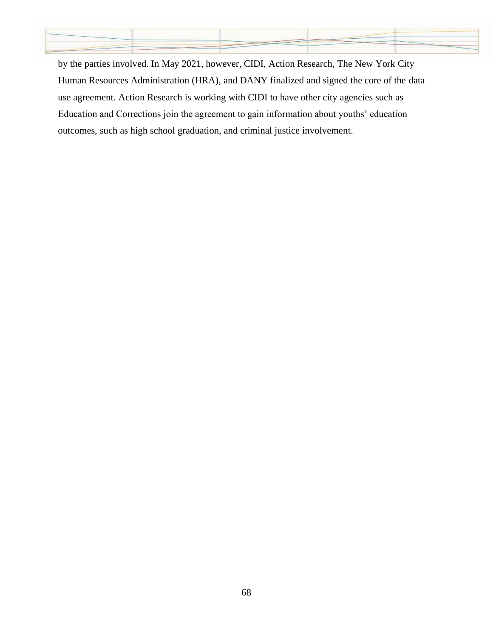

by the parties involved. In May 2021, however, CIDI, Action Research, The New York City Human Resources Administration (HRA), and DANY finalized and signed the core of the data use agreement. Action Research is working with CIDI to have other city agencies such as Education and Corrections join the agreement to gain information about youths' education outcomes, such as high school graduation, and criminal justice involvement.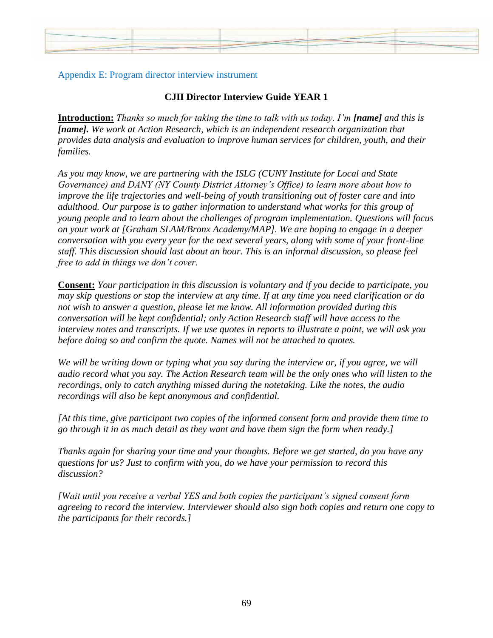## Appendix E: Program director interview instrument

## **CJII Director Interview Guide YEAR 1**

**Introduction:** *Thanks so much for taking the time to talk with us today. I'm [name] and this is [name]. We work at Action Research, which is an independent research organization that provides data analysis and evaluation to improve human services for children, youth, and their families.* 

*As you may know, we are partnering with the ISLG (CUNY Institute for Local and State Governance) and DANY (NY County District Attorney's Office) to learn more about how to improve the life trajectories and well-being of youth transitioning out of foster care and into adulthood. Our purpose is to gather information to understand what works for this group of young people and to learn about the challenges of program implementation. Questions will focus on your work at [Graham SLAM/Bronx Academy/MAP]. We are hoping to engage in a deeper conversation with you every year for the next several years, along with some of your front-line staff. This discussion should last about an hour. This is an informal discussion, so please feel free to add in things we don't cover.* 

**Consent:** *Your participation in this discussion is voluntary and if you decide to participate, you may skip questions or stop the interview at any time. If at any time you need clarification or do not wish to answer a question, please let me know. All information provided during this conversation will be kept confidential; only Action Research staff will have access to the interview notes and transcripts. If we use quotes in reports to illustrate a point, we will ask you before doing so and confirm the quote. Names will not be attached to quotes.* 

*We will be writing down or typing what you say during the interview or, if you agree, we will audio record what you say. The Action Research team will be the only ones who will listen to the recordings, only to catch anything missed during the notetaking. Like the notes, the audio recordings will also be kept anonymous and confidential.* 

*[At this time, give participant two copies of the informed consent form and provide them time to go through it in as much detail as they want and have them sign the form when ready.]*

*Thanks again for sharing your time and your thoughts. Before we get started, do you have any questions for us? Just to confirm with you, do we have your permission to record this discussion?*

*[Wait until you receive a verbal YES and both copies the participant's signed consent form agreeing to record the interview. Interviewer should also sign both copies and return one copy to the participants for their records.]*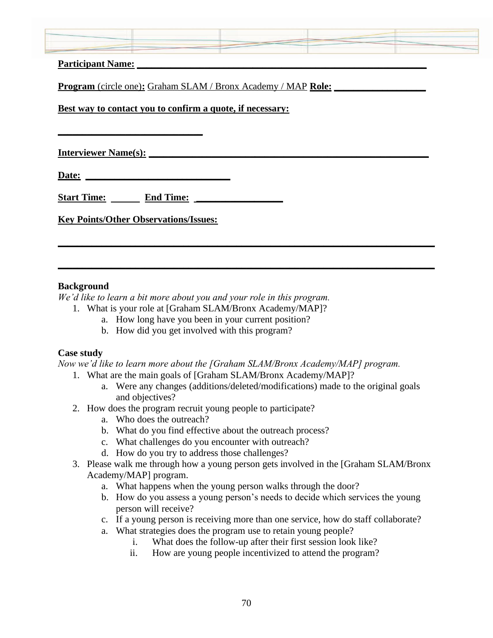| <b>Participant Name:</b>                                             |  |
|----------------------------------------------------------------------|--|
| <b>Program</b> (circle one): Graham SLAM / Bronx Academy / MAP Role: |  |
| <u>Best way to contact you to confirm a quote, if necessary:</u>     |  |

**Interviewer Name(s): \_\_\_\_\_\_\_\_\_\_\_\_\_\_\_\_\_\_\_\_\_\_\_\_\_\_\_\_\_\_\_\_\_\_\_\_\_\_\_\_\_\_\_\_\_\_\_\_\_\_\_\_\_\_\_\_\_\_**

**Date: \_\_\_\_\_\_\_\_\_\_\_\_\_\_\_\_\_\_\_\_\_\_\_\_\_\_\_\_\_\_**

**\_\_\_\_\_\_\_\_\_\_\_\_\_\_\_\_\_\_\_\_\_\_\_\_\_\_\_\_\_\_**

**Start Time: End Time: \_\_\_\_\_\_\_\_\_\_\_\_\_\_\_\_\_\_**

**Key Points/Other Observations/Issues:**

## **Background**

*We'd like to learn a bit more about you and your role in this program.*

- 1. What is your role at [Graham SLAM/Bronx Academy/MAP]?
	- a. How long have you been in your current position?
	- b. How did you get involved with this program?

## **Case study**

*Now we'd like to learn more about the [Graham SLAM/Bronx Academy/MAP] program.*

**\_\_\_\_\_\_\_\_\_\_\_\_\_\_\_\_\_\_\_\_\_\_\_\_\_\_\_\_\_\_\_\_\_\_\_\_\_\_\_\_\_\_\_\_\_\_\_\_\_\_\_\_\_\_\_\_\_\_\_\_\_\_\_\_\_\_\_\_\_\_\_\_\_\_\_\_\_\_**

**\_\_\_\_\_\_\_\_\_\_\_\_\_\_\_\_\_\_\_\_\_\_\_\_\_\_\_\_\_\_\_\_\_\_\_\_\_\_\_\_\_\_\_\_\_\_\_\_\_\_\_\_\_\_\_\_\_\_\_\_\_\_\_\_\_\_\_\_\_\_\_\_\_\_\_\_\_\_**

- 1. What are the main goals of [Graham SLAM/Bronx Academy/MAP]?
	- a. Were any changes (additions/deleted/modifications) made to the original goals and objectives?
- 2. How does the program recruit young people to participate?
	- a. Who does the outreach?
	- b. What do you find effective about the outreach process?
	- c. What challenges do you encounter with outreach?
	- d. How do you try to address those challenges?
- 3. Please walk me through how a young person gets involved in the [Graham SLAM/Bronx Academy/MAP] program.
	- a. What happens when the young person walks through the door?
	- b. How do you assess a young person's needs to decide which services the young person will receive?
	- c. If a young person is receiving more than one service, how do staff collaborate?
	- a. What strategies does the program use to retain young people?
		- i. What does the follow-up after their first session look like?
		- ii. How are young people incentivized to attend the program?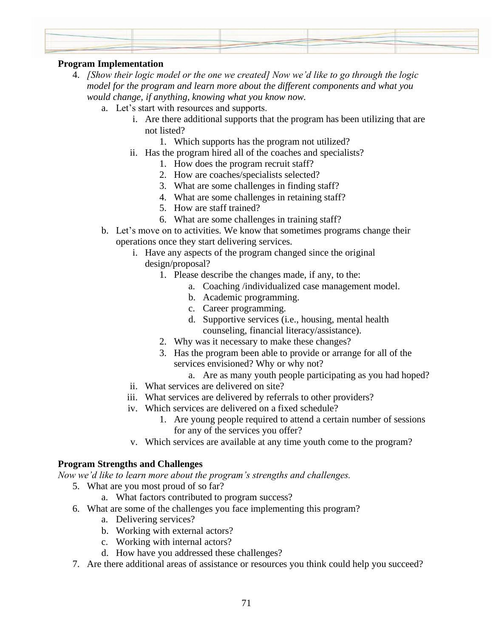## **Program Implementation**

- 4. *[Show their logic model or the one we created] Now we'd like to go through the logic model for the program and learn more about the different components and what you would change, if anything, knowing what you know now.*
	- a. Let's start with resources and supports.
		- i. Are there additional supports that the program has been utilizing that are not listed?
			- 1. Which supports has the program not utilized?
		- ii. Has the program hired all of the coaches and specialists?
			- 1. How does the program recruit staff?
			- 2. How are coaches/specialists selected?
			- 3. What are some challenges in finding staff?
			- 4. What are some challenges in retaining staff?
			- 5. How are staff trained?
			- 6. What are some challenges in training staff?
	- b. Let's move on to activities. We know that sometimes programs change their operations once they start delivering services.
		- i. Have any aspects of the program changed since the original design/proposal?
			- 1. Please describe the changes made, if any, to the:
				- a. Coaching /individualized case management model.
				- b. Academic programming.
				- c. Career programming.
				- d. Supportive services (i.e., housing, mental health counseling, financial literacy/assistance).
			- 2. Why was it necessary to make these changes?
			- 3. Has the program been able to provide or arrange for all of the services envisioned? Why or why not?
				- a. Are as many youth people participating as you had hoped?
		- ii. What services are delivered on site?
		- iii. What services are delivered by referrals to other providers?
		- iv. Which services are delivered on a fixed schedule?
			- 1. Are young people required to attend a certain number of sessions for any of the services you offer?
			- v. Which services are available at any time youth come to the program?

#### **Program Strengths and Challenges**

*Now we'd like to learn more about the program's strengths and challenges.*

- 5. What are you most proud of so far?
	- a. What factors contributed to program success?
- 6. What are some of the challenges you face implementing this program?
	- a. Delivering services?
	- b. Working with external actors?
	- c. Working with internal actors?
	- d. How have you addressed these challenges?
- 7. Are there additional areas of assistance or resources you think could help you succeed?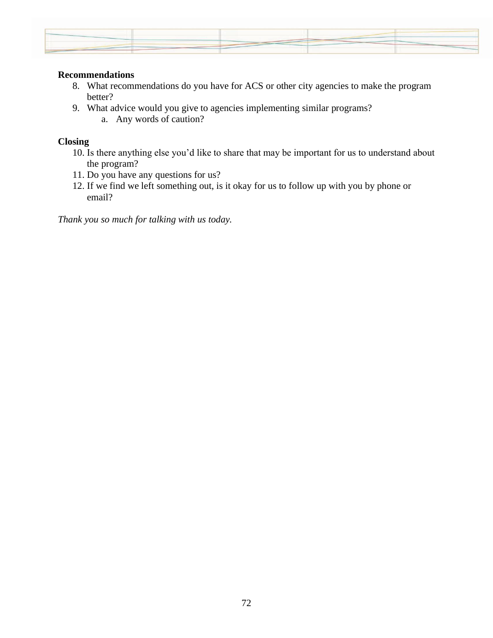

### **Recommendations**

- 8. What recommendations do you have for ACS or other city agencies to make the program better?
- 9. What advice would you give to agencies implementing similar programs?
	- a. Any words of caution?

## **Closing**

- 10. Is there anything else you'd like to share that may be important for us to understand about the program?
- 11. Do you have any questions for us?
- 12. If we find we left something out, is it okay for us to follow up with you by phone or email?

*Thank you so much for talking with us today.*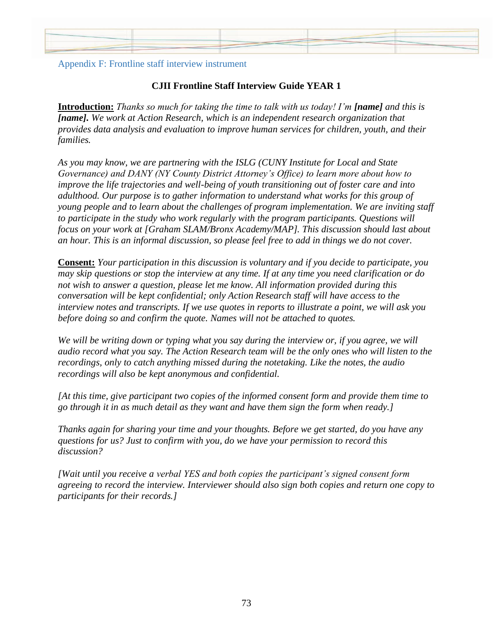

## Appendix F: Frontline staff interview instrument

## **CJII Frontline Staff Interview Guide YEAR 1**

**Introduction:** *Thanks so much for taking the time to talk with us today! I'm [name] and this is [name]. We work at Action Research, which is an independent research organization that provides data analysis and evaluation to improve human services for children, youth, and their families.* 

*As you may know, we are partnering with the ISLG (CUNY Institute for Local and State Governance) and DANY (NY County District Attorney's Office) to learn more about how to improve the life trajectories and well-being of youth transitioning out of foster care and into adulthood. Our purpose is to gather information to understand what works for this group of young people and to learn about the challenges of program implementation. We are inviting staff to participate in the study who work regularly with the program participants. Questions will focus on your work at [Graham SLAM/Bronx Academy/MAP]. This discussion should last about an hour. This is an informal discussion, so please feel free to add in things we do not cover.* 

**Consent:** *Your participation in this discussion is voluntary and if you decide to participate, you may skip questions or stop the interview at any time. If at any time you need clarification or do not wish to answer a question, please let me know. All information provided during this conversation will be kept confidential; only Action Research staff will have access to the interview notes and transcripts. If we use quotes in reports to illustrate a point, we will ask you before doing so and confirm the quote. Names will not be attached to quotes.*

*We will be writing down or typing what you say during the interview or, if you agree, we will audio record what you say. The Action Research team will be the only ones who will listen to the recordings, only to catch anything missed during the notetaking. Like the notes, the audio recordings will also be kept anonymous and confidential.* 

*[At this time, give participant two copies of the informed consent form and provide them time to go through it in as much detail as they want and have them sign the form when ready.]*

*Thanks again for sharing your time and your thoughts. Before we get started, do you have any questions for us? Just to confirm with you, do we have your permission to record this discussion?*

*[Wait until you receive a verbal YES and both copies the participant's signed consent form agreeing to record the interview. Interviewer should also sign both copies and return one copy to participants for their records.]*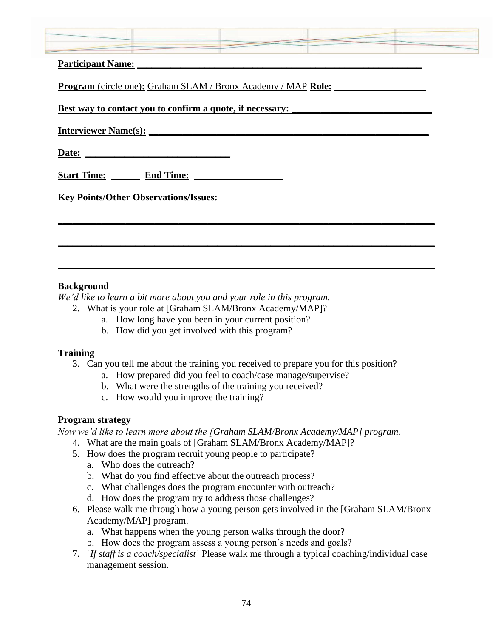| <b>Participant Name:</b>                                             |  |  |
|----------------------------------------------------------------------|--|--|
| <b>Program</b> (circle one): Graham SLAM / Bronx Academy / MAP Role: |  |  |
| Best way to contact you to confirm a quote, if necessary:            |  |  |
| <b>Interviewer Name(s):</b>                                          |  |  |
| Date:                                                                |  |  |
| <b>Start Time:</b><br><b>End Time:</b>                               |  |  |
| <b>Key Points/Other Observations/Issues:</b>                         |  |  |
|                                                                      |  |  |
|                                                                      |  |  |

## **Background**

*We'd like to learn a bit more about you and your role in this program.*

- 2. What is your role at [Graham SLAM/Bronx Academy/MAP]?
	- a. How long have you been in your current position?
	- b. How did you get involved with this program?

## **Training**

3. Can you tell me about the training you received to prepare you for this position?

**\_\_\_\_\_\_\_\_\_\_\_\_\_\_\_\_\_\_\_\_\_\_\_\_\_\_\_\_\_\_\_\_\_\_\_\_\_\_\_\_\_\_\_\_\_\_\_\_\_\_\_\_\_\_\_\_\_\_\_\_\_\_\_\_\_\_\_\_\_\_\_\_\_\_\_\_\_\_**

**\_\_\_\_\_\_\_\_\_\_\_\_\_\_\_\_\_\_\_\_\_\_\_\_\_\_\_\_\_\_\_\_\_\_\_\_\_\_\_\_\_\_\_\_\_\_\_\_\_\_\_\_\_\_\_\_\_\_\_\_\_\_\_\_\_\_\_\_\_\_\_\_\_\_\_\_\_\_**

- a. How prepared did you feel to coach/case manage/supervise?
- b. What were the strengths of the training you received?
- c. How would you improve the training?

## **Program strategy**

*Now we'd like to learn more about the [Graham SLAM/Bronx Academy/MAP] program.*

- 4. What are the main goals of [Graham SLAM/Bronx Academy/MAP]?
- 5. How does the program recruit young people to participate?
	- a. Who does the outreach?
	- b. What do you find effective about the outreach process?
	- c. What challenges does the program encounter with outreach?
	- d. How does the program try to address those challenges?
- 6. Please walk me through how a young person gets involved in the [Graham SLAM/Bronx Academy/MAP] program.
	- a. What happens when the young person walks through the door?
	- b. How does the program assess a young person's needs and goals?
- 7. [*If staff is a coach/specialist*] Please walk me through a typical coaching/individual case management session.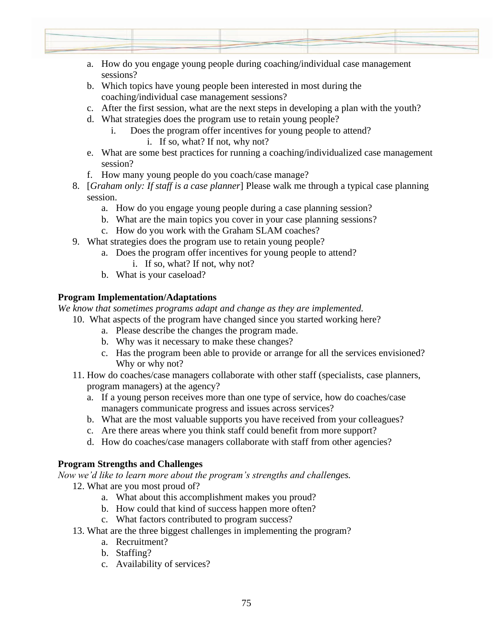

- a. How do you engage young people during coaching/individual case management sessions?
- b. Which topics have young people been interested in most during the coaching/individual case management sessions?
- c. After the first session, what are the next steps in developing a plan with the youth?
- d. What strategies does the program use to retain young people?
	- i. Does the program offer incentives for young people to attend?
		- i. If so, what? If not, why not?
- e. What are some best practices for running a coaching/individualized case management session?
- f. How many young people do you coach/case manage?
- 8. [*Graham only: If staff is a case planner*] Please walk me through a typical case planning session.
	- a. How do you engage young people during a case planning session?
	- b. What are the main topics you cover in your case planning sessions?
	- c. How do you work with the Graham SLAM coaches?
- 9. What strategies does the program use to retain young people?
	- a. Does the program offer incentives for young people to attend?
		- i. If so, what? If not, why not?
	- b. What is your caseload?

## **Program Implementation/Adaptations**

*We know that sometimes programs adapt and change as they are implemented.*

- 10. What aspects of the program have changed since you started working here?
	- a. Please describe the changes the program made.
	- b. Why was it necessary to make these changes?
	- c. Has the program been able to provide or arrange for all the services envisioned? Why or why not?
- 11. How do coaches/case managers collaborate with other staff (specialists, case planners, program managers) at the agency?
	- a. If a young person receives more than one type of service, how do coaches/case managers communicate progress and issues across services?
	- b. What are the most valuable supports you have received from your colleagues?
	- c. Are there areas where you think staff could benefit from more support?
	- d. How do coaches/case managers collaborate with staff from other agencies?

## **Program Strengths and Challenges**

*Now we'd like to learn more about the program's strengths and challenges.*

- 12. What are you most proud of?
	- a. What about this accomplishment makes you proud?
	- b. How could that kind of success happen more often?
	- c. What factors contributed to program success?
- 13. What are the three biggest challenges in implementing the program?
	- a. Recruitment?
	- b. Staffing?
	- c. Availability of services?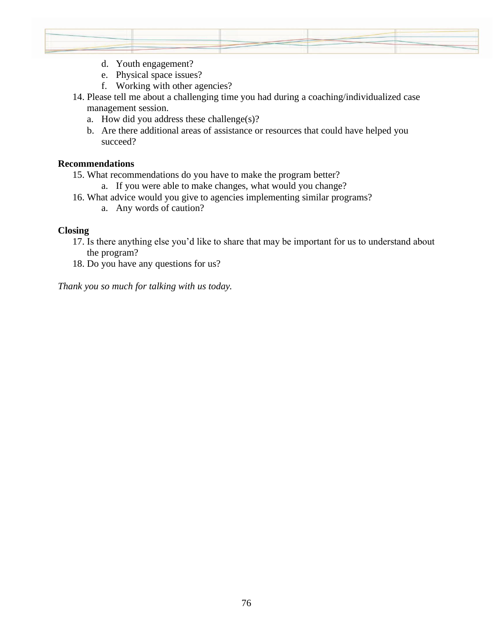

- d. Youth engagement?
- e. Physical space issues?
- f. Working with other agencies?
- 14. Please tell me about a challenging time you had during a coaching/individualized case management session.
	- a. How did you address these challenge(s)?
	- b. Are there additional areas of assistance or resources that could have helped you succeed?

### **Recommendations**

- 15. What recommendations do you have to make the program better?
	- a. If you were able to make changes, what would you change?
- 16. What advice would you give to agencies implementing similar programs?
	- a. Any words of caution?

## **Closing**

- 17. Is there anything else you'd like to share that may be important for us to understand about the program?
- 18. Do you have any questions for us?

*Thank you so much for talking with us today.*